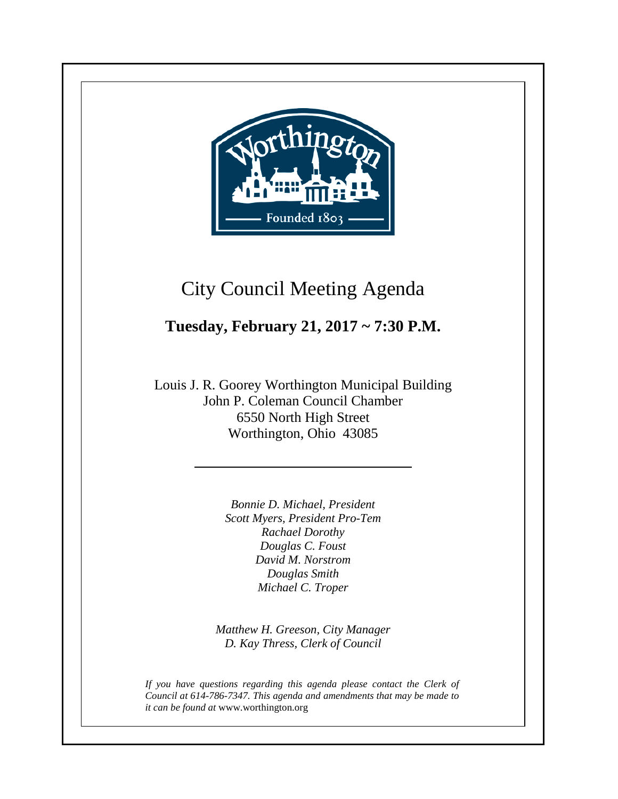

**+**

# City Council Meeting Agenda

## **Tuesday, February 21, 2017 ~ 7:30 P.M.**

Louis J. R. Goorey Worthington Municipal Building John P. Coleman Council Chamber 6550 North High Street Worthington, Ohio 43085

> *Bonnie D. Michael, President Scott Myers, President Pro-Tem Rachael Dorothy Douglas C. Foust David M. Norstrom Douglas Smith Michael C. Troper*

*Matthew H. Greeson, City Manager D. Kay Thress, Clerk of Council*

*If you have questions regarding this agenda please contact the Clerk of Council at 614-786-7347. This agenda and amendments that may be made to it can be found at* www.worthington.org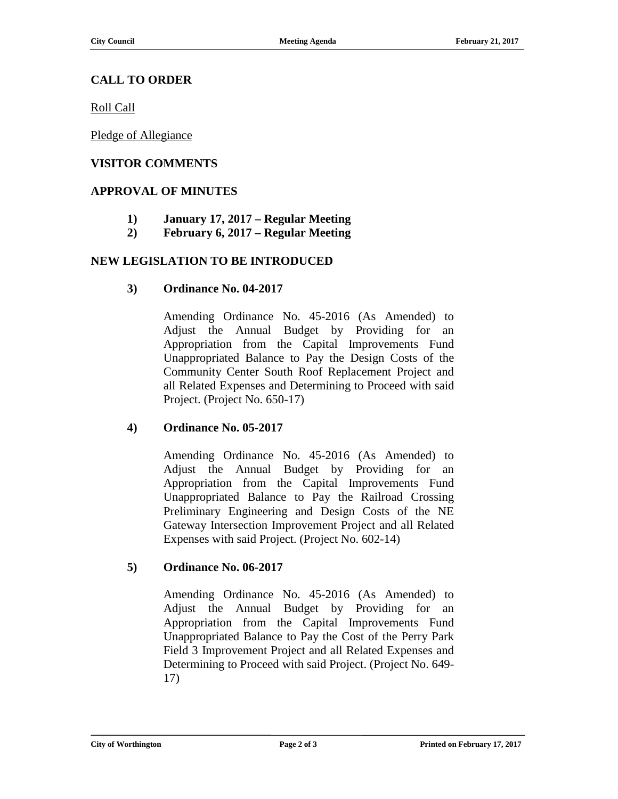#### **CALL TO ORDER**

Roll Call

Pledge of Allegiance

#### **VISITOR COMMENTS**

#### **APPROVAL OF MINUTES**

- **1) January 17, 2017 – Regular Meeting**
- **2) February 6, 2017 – Regular Meeting**

#### **NEW LEGISLATION TO BE INTRODUCED**

#### **3) Ordinance No. 04-2017**

Amending Ordinance No. 45-2016 (As Amended) to Adjust the Annual Budget by Providing for an Appropriation from the Capital Improvements Fund Unappropriated Balance to Pay the Design Costs of the Community Center South Roof Replacement Project and all Related Expenses and Determining to Proceed with said Project. (Project No. 650-17)

#### **4) Ordinance No. 05-2017**

Amending Ordinance No. 45-2016 (As Amended) to Adjust the Annual Budget by Providing for an Appropriation from the Capital Improvements Fund Unappropriated Balance to Pay the Railroad Crossing Preliminary Engineering and Design Costs of the NE Gateway Intersection Improvement Project and all Related Expenses with said Project. (Project No. 602-14)

#### **5) Ordinance No. 06-2017**

Amending Ordinance No. 45-2016 (As Amended) to Adjust the Annual Budget by Providing for an Appropriation from the Capital Improvements Fund Unappropriated Balance to Pay the Cost of the Perry Park Field 3 Improvement Project and all Related Expenses and Determining to Proceed with said Project. (Project No. 649- 17)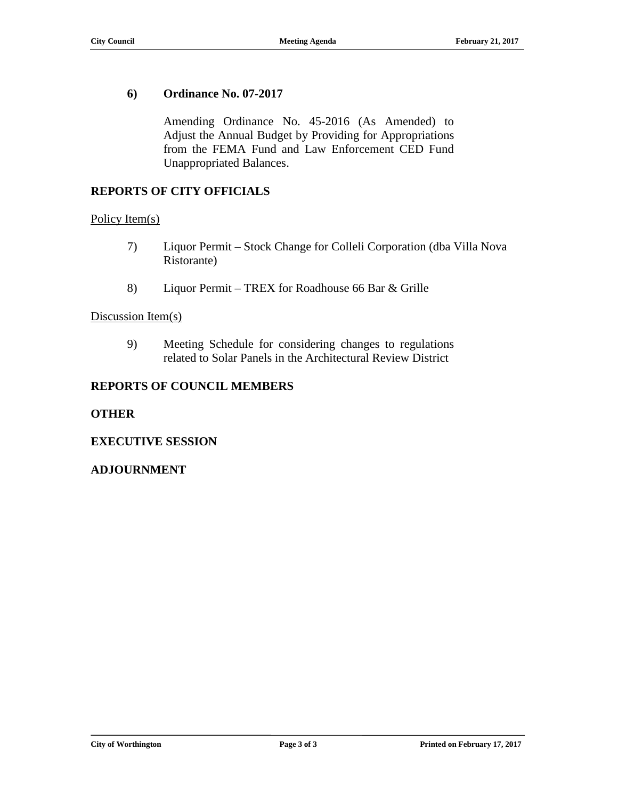#### **6) Ordinance No. 07-2017**

Amending Ordinance No. 45-2016 (As Amended) to Adjust the Annual Budget by Providing for Appropriations from the FEMA Fund and Law Enforcement CED Fund Unappropriated Balances.

#### **REPORTS OF CITY OFFICIALS**

#### Policy Item(s)

- 7) Liquor Permit Stock Change for Colleli Corporation (dba Villa Nova Ristorante)
- 8) Liquor Permit TREX for Roadhouse 66 Bar & Grille

#### Discussion Item(s)

9) Meeting Schedule for considering changes to regulations related to Solar Panels in the Architectural Review District

#### **REPORTS OF COUNCIL MEMBERS**

#### **OTHER**

#### **EXECUTIVE SESSION**

#### **ADJOURNMENT**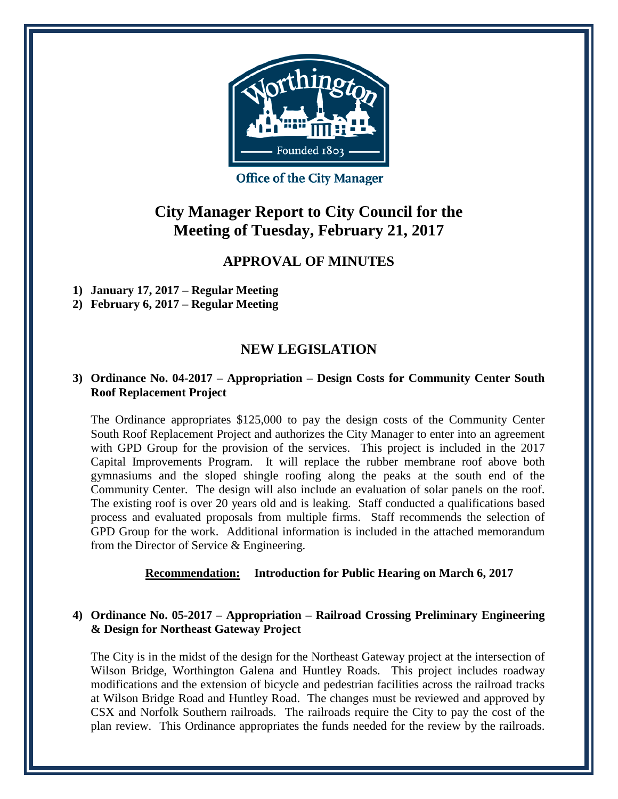

**Office of the City Manager** 

## **City Manager Report to City Council for the Meeting of Tuesday, February 21, 2017**

### **APPROVAL OF MINUTES**

**1) January 17, 2017 – Regular Meeting**

**2) February 6, 2017 – Regular Meeting**

### **NEW LEGISLATION**

#### **3) Ordinance No. 04-2017 – Appropriation – Design Costs for Community Center South Roof Replacement Project**

The Ordinance appropriates \$125,000 to pay the design costs of the Community Center South Roof Replacement Project and authorizes the City Manager to enter into an agreement with GPD Group for the provision of the services. This project is included in the 2017 Capital Improvements Program. It will replace the rubber membrane roof above both gymnasiums and the sloped shingle roofing along the peaks at the south end of the Community Center. The design will also include an evaluation of solar panels on the roof. The existing roof is over 20 years old and is leaking. Staff conducted a qualifications based process and evaluated proposals from multiple firms. Staff recommends the selection of GPD Group for the work. Additional information is included in the attached memorandum from the Director of Service & Engineering.

#### **Recommendation: Introduction for Public Hearing on March 6, 2017**

#### **4) Ordinance No. 05-2017 – Appropriation – Railroad Crossing Preliminary Engineering & Design for Northeast Gateway Project**

The City is in the midst of the design for the Northeast Gateway project at the intersection of Wilson Bridge, Worthington Galena and Huntley Roads. This project includes roadway modifications and the extension of bicycle and pedestrian facilities across the railroad tracks at Wilson Bridge Road and Huntley Road. The changes must be reviewed and approved by CSX and Norfolk Southern railroads. The railroads require the City to pay the cost of the plan review. This Ordinance appropriates the funds needed for the review by the railroads.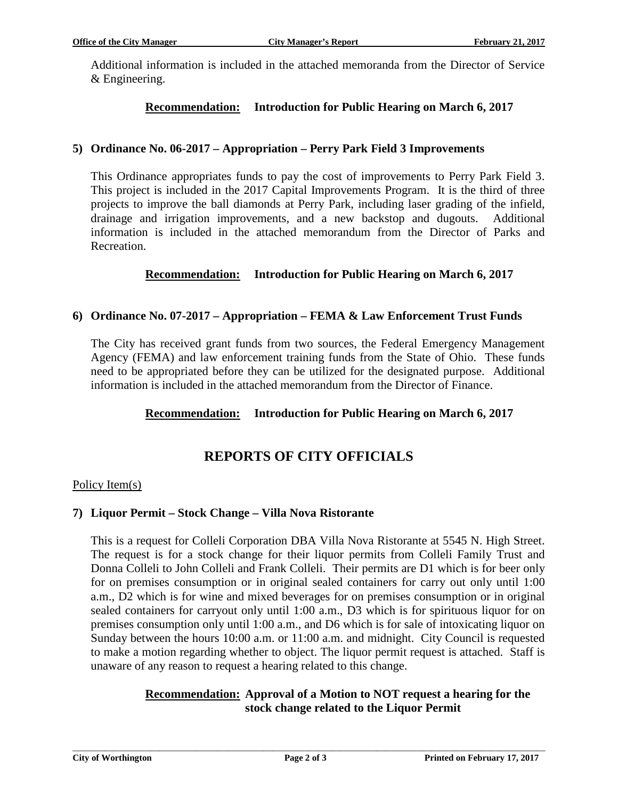Additional information is included in the attached memoranda from the Director of Service & Engineering.

#### **Recommendation: Introduction for Public Hearing on March 6, 2017**

#### **5) Ordinance No. 06-2017 – Appropriation – Perry Park Field 3 Improvements**

This Ordinance appropriates funds to pay the cost of improvements to Perry Park Field 3. This project is included in the 2017 Capital Improvements Program. It is the third of three projects to improve the ball diamonds at Perry Park, including laser grading of the infield, drainage and irrigation improvements, and a new backstop and dugouts. Additional information is included in the attached memorandum from the Director of Parks and Recreation.

#### **Recommendation: Introduction for Public Hearing on March 6, 2017**

#### **6) Ordinance No. 07-2017 – Appropriation – FEMA & Law Enforcement Trust Funds**

The City has received grant funds from two sources, the Federal Emergency Management Agency (FEMA) and law enforcement training funds from the State of Ohio. These funds need to be appropriated before they can be utilized for the designated purpose. Additional information is included in the attached memorandum from the Director of Finance.

#### **Recommendation: Introduction for Public Hearing on March 6, 2017**

### **REPORTS OF CITY OFFICIALS**

#### Policy Item(s)

#### **7) Liquor Permit – Stock Change – Villa Nova Ristorante**

This is a request for Colleli Corporation DBA Villa Nova Ristorante at 5545 N. High Street. The request is for a stock change for their liquor permits from Colleli Family Trust and Donna Colleli to John Colleli and Frank Colleli. Their permits are D1 which is for beer only for on premises consumption or in original sealed containers for carry out only until 1:00 a.m., D2 which is for wine and mixed beverages for on premises consumption or in original sealed containers for carryout only until 1:00 a.m., D3 which is for spirituous liquor for on premises consumption only until 1:00 a.m., and D6 which is for sale of intoxicating liquor on Sunday between the hours 10:00 a.m. or 11:00 a.m. and midnight. City Council is requested to make a motion regarding whether to object. The liquor permit request is attached. Staff is unaware of any reason to request a hearing related to this change.

#### **Recommendation: Approval of a Motion to NOT request a hearing for the stock change related to the Liquor Permit**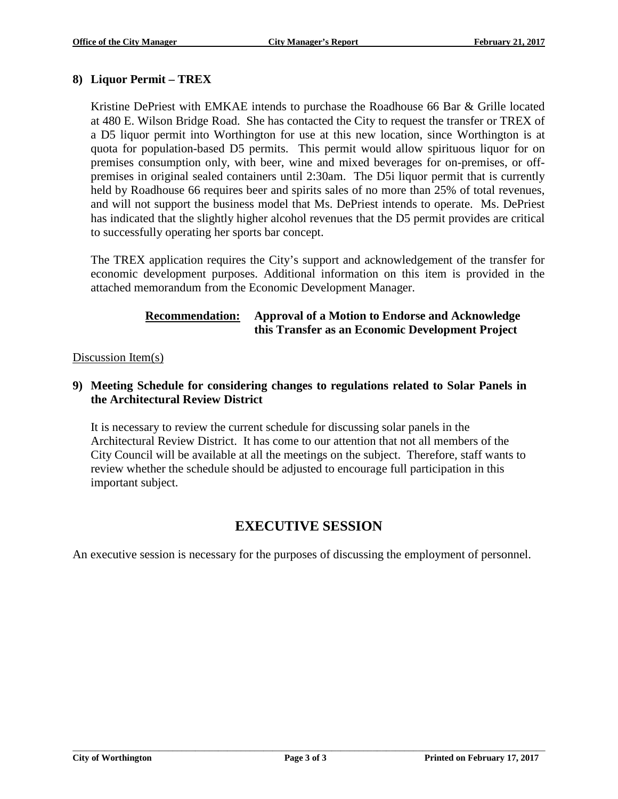#### **8) Liquor Permit – TREX**

Kristine DePriest with EMKAE intends to purchase the Roadhouse 66 Bar & Grille located at 480 E. Wilson Bridge Road. She has contacted the City to request the transfer or TREX of a D5 liquor permit into Worthington for use at this new location, since Worthington is at quota for population-based D5 permits. This permit would allow spirituous liquor for on premises consumption only, with beer, wine and mixed beverages for on-premises, or offpremises in original sealed containers until 2:30am. The D5i liquor permit that is currently held by Roadhouse 66 requires beer and spirits sales of no more than 25% of total revenues, and will not support the business model that Ms. DePriest intends to operate. Ms. DePriest has indicated that the slightly higher alcohol revenues that the D5 permit provides are critical to successfully operating her sports bar concept.

The TREX application requires the City's support and acknowledgement of the transfer for economic development purposes. Additional information on this item is provided in the attached memorandum from the Economic Development Manager.

#### **Recommendation: Approval of a Motion to Endorse and Acknowledge this Transfer as an Economic Development Project**

#### Discussion Item(s)

#### **9) Meeting Schedule for considering changes to regulations related to Solar Panels in the Architectural Review District**

It is necessary to review the current schedule for discussing solar panels in the Architectural Review District. It has come to our attention that not all members of the City Council will be available at all the meetings on the subject. Therefore, staff wants to review whether the schedule should be adjusted to encourage full participation in this important subject.

### **EXECUTIVE SESSION**

An executive session is necessary for the purposes of discussing the employment of personnel.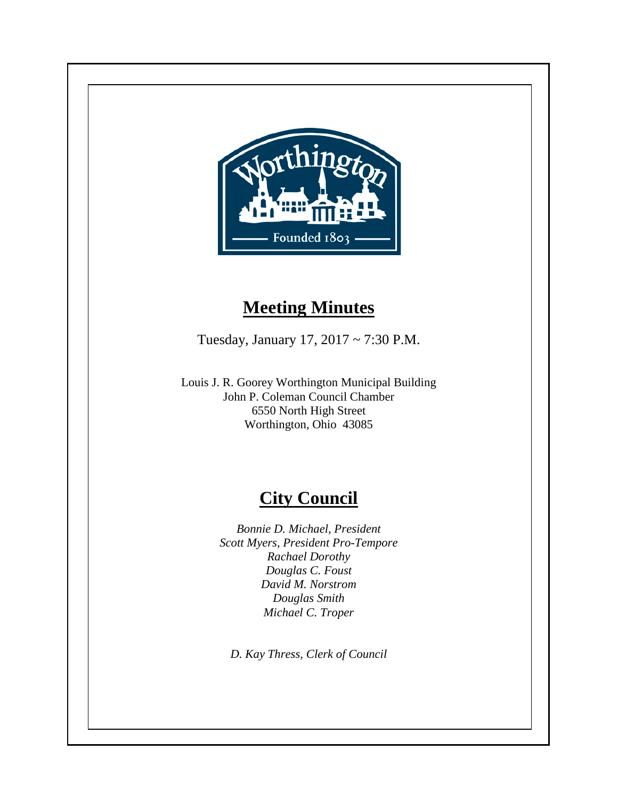

## **Meeting Minutes**

Tuesday, January 17, 2017 ~ 7:30 P.M.

Louis J. R. Goorey Worthington Municipal Building John P. Coleman Council Chamber 6550 North High Street Worthington, Ohio 43085

## **City Council**

*Bonnie D. Michael, President Scott Myers, President Pro-Tempore Rachael Dorothy Douglas C. Foust David M. Norstrom Douglas Smith Michael C. Troper*

*D. Kay Thress, Clerk of Council*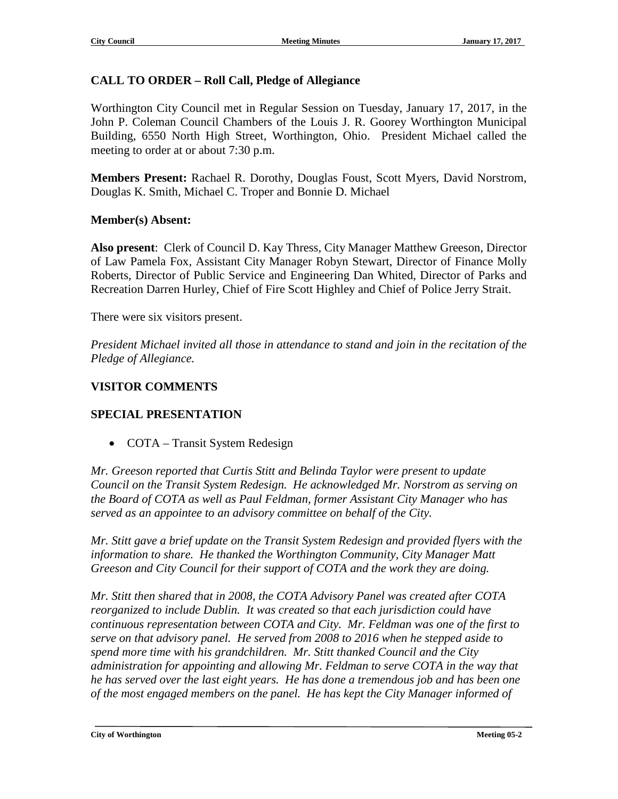#### **CALL TO ORDER – Roll Call, Pledge of Allegiance**

Worthington City Council met in Regular Session on Tuesday, January 17, 2017, in the John P. Coleman Council Chambers of the Louis J. R. Goorey Worthington Municipal Building, 6550 North High Street, Worthington, Ohio. President Michael called the meeting to order at or about 7:30 p.m.

**Members Present:** Rachael R. Dorothy, Douglas Foust, Scott Myers, David Norstrom, Douglas K. Smith, Michael C. Troper and Bonnie D. Michael

#### **Member(s) Absent:**

**Also present**: Clerk of Council D. Kay Thress, City Manager Matthew Greeson, Director of Law Pamela Fox, Assistant City Manager Robyn Stewart, Director of Finance Molly Roberts, Director of Public Service and Engineering Dan Whited, Director of Parks and Recreation Darren Hurley, Chief of Fire Scott Highley and Chief of Police Jerry Strait.

There were six visitors present.

*President Michael invited all those in attendance to stand and join in the recitation of the Pledge of Allegiance.*

#### **VISITOR COMMENTS**

#### **SPECIAL PRESENTATION**

• COTA – Transit System Redesign

*Mr. Greeson reported that Curtis Stitt and Belinda Taylor were present to update Council on the Transit System Redesign. He acknowledged Mr. Norstrom as serving on the Board of COTA as well as Paul Feldman, former Assistant City Manager who has served as an appointee to an advisory committee on behalf of the City.* 

*Mr. Stitt gave a brief update on the Transit System Redesign and provided flyers with the information to share. He thanked the Worthington Community, City Manager Matt Greeson and City Council for their support of COTA and the work they are doing.*

*Mr. Stitt then shared that in 2008, the COTA Advisory Panel was created after COTA reorganized to include Dublin. It was created so that each jurisdiction could have continuous representation between COTA and City. Mr. Feldman was one of the first to serve on that advisory panel. He served from 2008 to 2016 when he stepped aside to spend more time with his grandchildren. Mr. Stitt thanked Council and the City administration for appointing and allowing Mr. Feldman to serve COTA in the way that he has served over the last eight years. He has done a tremendous job and has been one of the most engaged members on the panel. He has kept the City Manager informed of*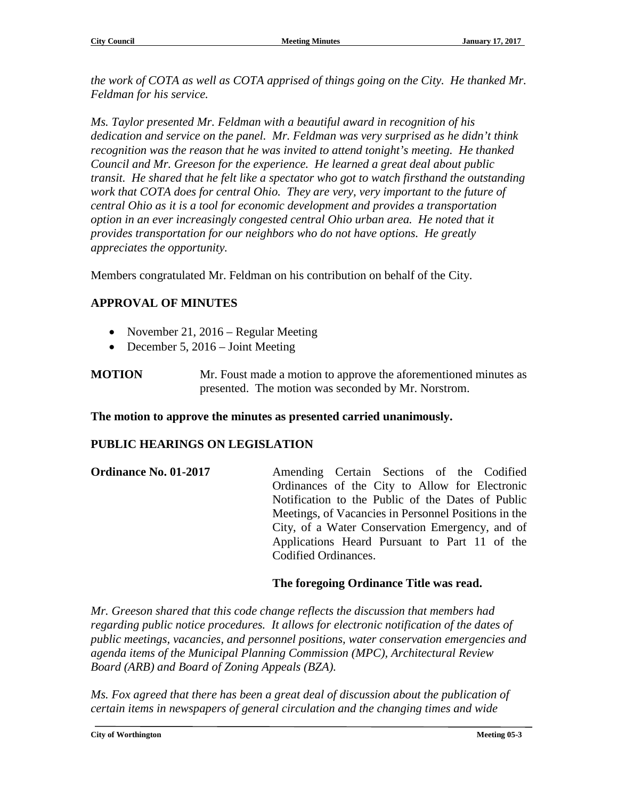*the work of COTA as well as COTA apprised of things going on the City. He thanked Mr. Feldman for his service.*

*Ms. Taylor presented Mr. Feldman with a beautiful award in recognition of his dedication and service on the panel. Mr. Feldman was very surprised as he didn't think recognition was the reason that he was invited to attend tonight's meeting. He thanked Council and Mr. Greeson for the experience. He learned a great deal about public transit. He shared that he felt like a spectator who got to watch firsthand the outstanding work that COTA does for central Ohio. They are very, very important to the future of central Ohio as it is a tool for economic development and provides a transportation option in an ever increasingly congested central Ohio urban area. He noted that it provides transportation for our neighbors who do not have options. He greatly appreciates the opportunity.* 

Members congratulated Mr. Feldman on his contribution on behalf of the City.

#### **APPROVAL OF MINUTES**

- November 21, 2016 Regular Meeting
- December 5, 2016 Joint Meeting

**MOTION** Mr. Foust made a motion to approve the aforementioned minutes as presented. The motion was seconded by Mr. Norstrom.

**The motion to approve the minutes as presented carried unanimously.**

#### **PUBLIC HEARINGS ON LEGISLATION**

| <b>Ordinance No. 01-2017</b> | Amending Certain Sections of the Codified            |
|------------------------------|------------------------------------------------------|
|                              | Ordinances of the City to Allow for Electronic       |
|                              | Notification to the Public of the Dates of Public    |
|                              | Meetings, of Vacancies in Personnel Positions in the |
|                              | City, of a Water Conservation Emergency, and of      |
|                              | Applications Heard Pursuant to Part 11 of the        |
|                              | Codified Ordinances.                                 |
|                              |                                                      |

#### **The foregoing Ordinance Title was read.**

*Mr. Greeson shared that this code change reflects the discussion that members had regarding public notice procedures. It allows for electronic notification of the dates of public meetings, vacancies, and personnel positions, water conservation emergencies and agenda items of the Municipal Planning Commission (MPC), Architectural Review Board (ARB) and Board of Zoning Appeals (BZA).*

*Ms. Fox agreed that there has been a great deal of discussion about the publication of certain items in newspapers of general circulation and the changing times and wide*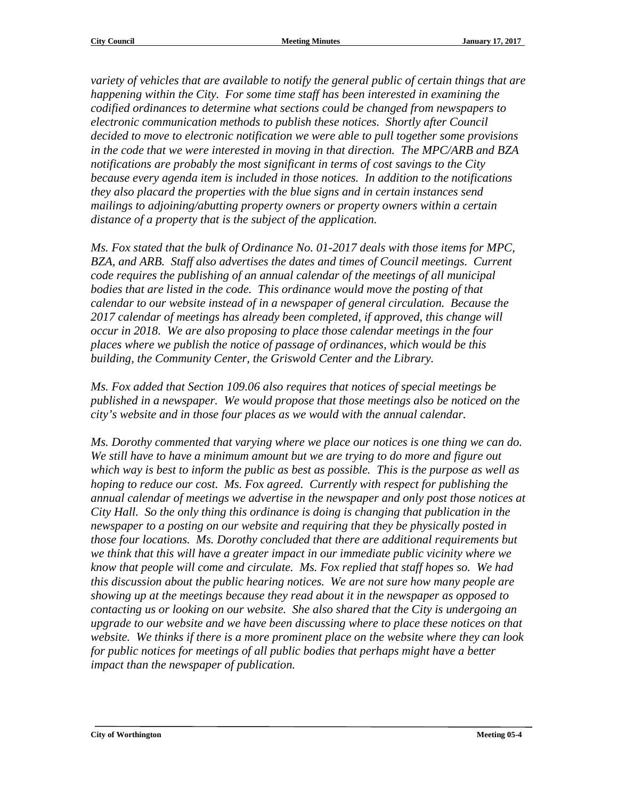*variety of vehicles that are available to notify the general public of certain things that are happening within the City. For some time staff has been interested in examining the codified ordinances to determine what sections could be changed from newspapers to electronic communication methods to publish these notices. Shortly after Council decided to move to electronic notification we were able to pull together some provisions in the code that we were interested in moving in that direction. The MPC/ARB and BZA notifications are probably the most significant in terms of cost savings to the City because every agenda item is included in those notices. In addition to the notifications they also placard the properties with the blue signs and in certain instances send mailings to adjoining/abutting property owners or property owners within a certain distance of a property that is the subject of the application.*

*Ms. Fox stated that the bulk of Ordinance No. 01-2017 deals with those items for MPC, BZA, and ARB. Staff also advertises the dates and times of Council meetings. Current code requires the publishing of an annual calendar of the meetings of all municipal bodies that are listed in the code. This ordinance would move the posting of that calendar to our website instead of in a newspaper of general circulation. Because the 2017 calendar of meetings has already been completed, if approved, this change will occur in 2018. We are also proposing to place those calendar meetings in the four places where we publish the notice of passage of ordinances, which would be this building, the Community Center, the Griswold Center and the Library.* 

*Ms. Fox added that Section 109.06 also requires that notices of special meetings be published in a newspaper. We would propose that those meetings also be noticed on the city's website and in those four places as we would with the annual calendar.*

*Ms. Dorothy commented that varying where we place our notices is one thing we can do.*  We still have to have a minimum amount but we are trying to do more and figure out *which way is best to inform the public as best as possible. This is the purpose as well as hoping to reduce our cost. Ms. Fox agreed. Currently with respect for publishing the annual calendar of meetings we advertise in the newspaper and only post those notices at City Hall. So the only thing this ordinance is doing is changing that publication in the newspaper to a posting on our website and requiring that they be physically posted in those four locations. Ms. Dorothy concluded that there are additional requirements but we think that this will have a greater impact in our immediate public vicinity where we know that people will come and circulate. Ms. Fox replied that staff hopes so. We had this discussion about the public hearing notices. We are not sure how many people are showing up at the meetings because they read about it in the newspaper as opposed to contacting us or looking on our website. She also shared that the City is undergoing an upgrade to our website and we have been discussing where to place these notices on that website. We thinks if there is a more prominent place on the website where they can look for public notices for meetings of all public bodies that perhaps might have a better impact than the newspaper of publication.*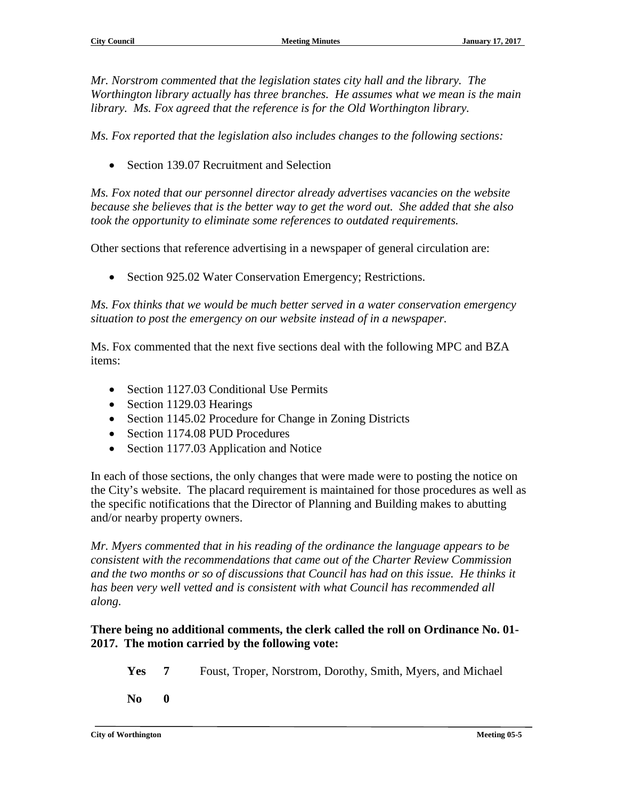*Mr. Norstrom commented that the legislation states city hall and the library. The Worthington library actually has three branches. He assumes what we mean is the main library. Ms. Fox agreed that the reference is for the Old Worthington library.* 

*Ms. Fox reported that the legislation also includes changes to the following sections:* 

• Section 139.07 Recruitment and Selection

*Ms. Fox noted that our personnel director already advertises vacancies on the website because she believes that is the better way to get the word out. She added that she also took the opportunity to eliminate some references to outdated requirements.*

Other sections that reference advertising in a newspaper of general circulation are:

• Section 925.02 Water Conservation Emergency; Restrictions.

*Ms. Fox thinks that we would be much better served in a water conservation emergency situation to post the emergency on our website instead of in a newspaper.*

Ms. Fox commented that the next five sections deal with the following MPC and BZA items:

- Section 1127.03 Conditional Use Permits
- Section 1129.03 Hearings
- Section 1145.02 Procedure for Change in Zoning Districts
- Section 1174.08 PUD Procedures
- Section 1177.03 Application and Notice

In each of those sections, the only changes that were made were to posting the notice on the City's website. The placard requirement is maintained for those procedures as well as the specific notifications that the Director of Planning and Building makes to abutting and/or nearby property owners.

*Mr. Myers commented that in his reading of the ordinance the language appears to be consistent with the recommendations that came out of the Charter Review Commission and the two months or so of discussions that Council has had on this issue. He thinks it has been very well vetted and is consistent with what Council has recommended all along.*

#### **There being no additional comments, the clerk called the roll on Ordinance No. 01- 2017. The motion carried by the following vote:**

- **Yes 7** Foust, Troper, Norstrom, Dorothy, Smith, Myers, and Michael
- **No 0**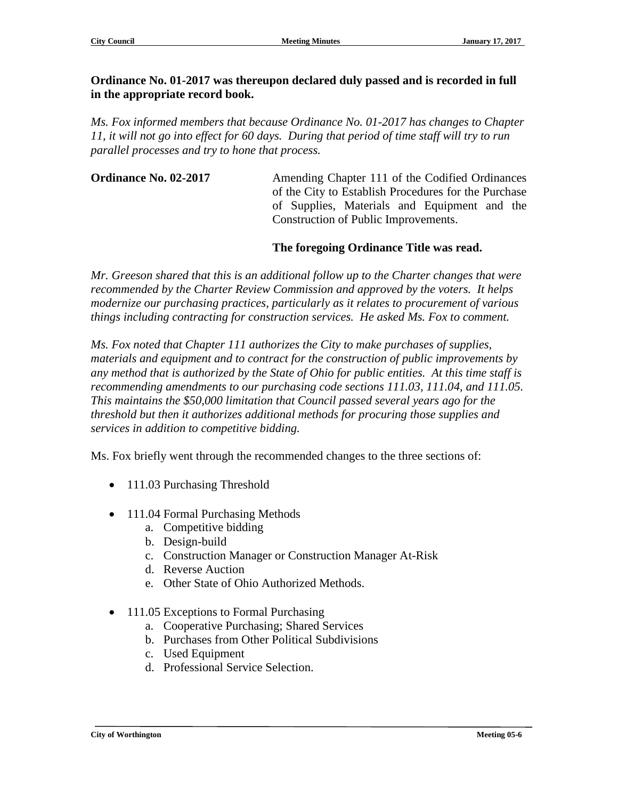#### **Ordinance No. 01-2017 was thereupon declared duly passed and is recorded in full in the appropriate record book.**

*Ms. Fox informed members that because Ordinance No. 01-2017 has changes to Chapter 11, it will not go into effect for 60 days. During that period of time staff will try to run parallel processes and try to hone that process.*

**Ordinance No. 02-2017** Amending Chapter 111 of the Codified Ordinances of the City to Establish Procedures for the Purchase of Supplies, Materials and Equipment and the Construction of Public Improvements.

#### **The foregoing Ordinance Title was read.**

*Mr. Greeson shared that this is an additional follow up to the Charter changes that were recommended by the Charter Review Commission and approved by the voters. It helps modernize our purchasing practices, particularly as it relates to procurement of various things including contracting for construction services. He asked Ms. Fox to comment.* 

*Ms. Fox noted that Chapter 111 authorizes the City to make purchases of supplies, materials and equipment and to contract for the construction of public improvements by any method that is authorized by the State of Ohio for public entities. At this time staff is recommending amendments to our purchasing code sections 111.03, 111.04, and 111.05. This maintains the \$50,000 limitation that Council passed several years ago for the threshold but then it authorizes additional methods for procuring those supplies and services in addition to competitive bidding.* 

Ms. Fox briefly went through the recommended changes to the three sections of:

- 111.03 Purchasing Threshold
- 111.04 Formal Purchasing Methods
	- a. Competitive bidding
	- b. Design-build
	- c. Construction Manager or Construction Manager At-Risk
	- d. Reverse Auction
	- e. Other State of Ohio Authorized Methods.
- 111.05 Exceptions to Formal Purchasing
	- a. Cooperative Purchasing; Shared Services
	- b. Purchases from Other Political Subdivisions
	- c. Used Equipment
	- d. Professional Service Selection.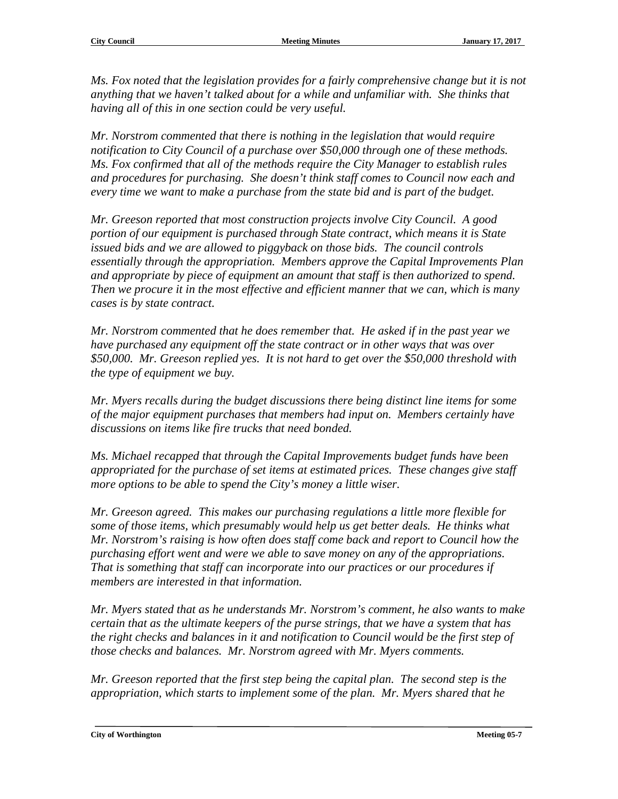*Ms. Fox noted that the legislation provides for a fairly comprehensive change but it is not*  anything that we haven't talked about for a while and unfamiliar with. She thinks that *having all of this in one section could be very useful.*

*Mr. Norstrom commented that there is nothing in the legislation that would require notification to City Council of a purchase over \$50,000 through one of these methods. Ms. Fox confirmed that all of the methods require the City Manager to establish rules and procedures for purchasing. She doesn't think staff comes to Council now each and every time we want to make a purchase from the state bid and is part of the budget.*

*Mr. Greeson reported that most construction projects involve City Council. A good portion of our equipment is purchased through State contract, which means it is State issued bids and we are allowed to piggyback on those bids. The council controls essentially through the appropriation. Members approve the Capital Improvements Plan and appropriate by piece of equipment an amount that staff is then authorized to spend. Then we procure it in the most effective and efficient manner that we can, which is many cases is by state contract.*

*Mr. Norstrom commented that he does remember that. He asked if in the past year we have purchased any equipment off the state contract or in other ways that was over \$50,000. Mr. Greeson replied yes. It is not hard to get over the \$50,000 threshold with the type of equipment we buy.*

*Mr. Myers recalls during the budget discussions there being distinct line items for some of the major equipment purchases that members had input on. Members certainly have discussions on items like fire trucks that need bonded.*

*Ms. Michael recapped that through the Capital Improvements budget funds have been appropriated for the purchase of set items at estimated prices. These changes give staff more options to be able to spend the City's money a little wiser.*

*Mr. Greeson agreed. This makes our purchasing regulations a little more flexible for some of those items, which presumably would help us get better deals. He thinks what Mr. Norstrom's raising is how often does staff come back and report to Council how the purchasing effort went and were we able to save money on any of the appropriations. That is something that staff can incorporate into our practices or our procedures if members are interested in that information.*

*Mr. Myers stated that as he understands Mr. Norstrom's comment, he also wants to make certain that as the ultimate keepers of the purse strings, that we have a system that has the right checks and balances in it and notification to Council would be the first step of those checks and balances. Mr. Norstrom agreed with Mr. Myers comments.*

*Mr. Greeson reported that the first step being the capital plan. The second step is the appropriation, which starts to implement some of the plan. Mr. Myers shared that he* 

**City of Worthington Meeting 05-7**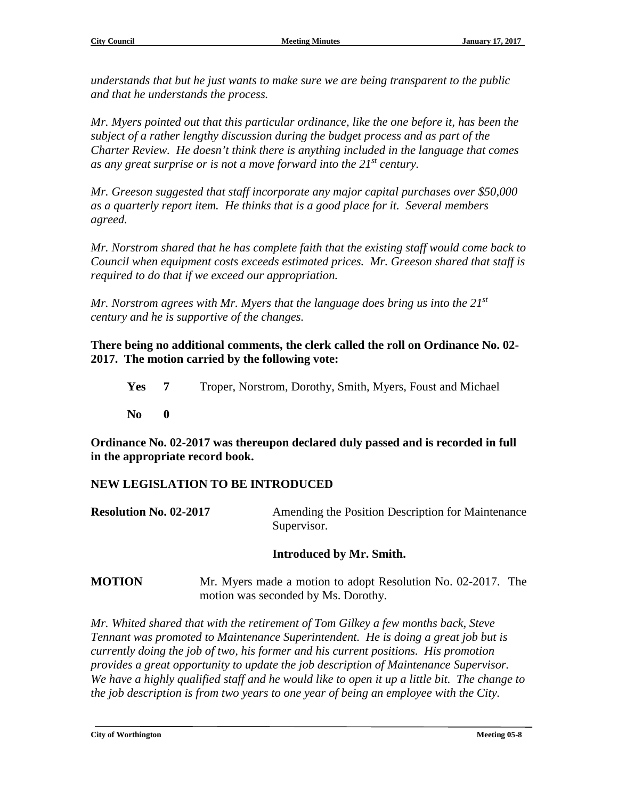*understands that but he just wants to make sure we are being transparent to the public and that he understands the process.*

*Mr. Myers pointed out that this particular ordinance, like the one before it, has been the subject of a rather lengthy discussion during the budget process and as part of the Charter Review. He doesn't think there is anything included in the language that comes as any great surprise or is not a move forward into the 21st century.*

*Mr. Greeson suggested that staff incorporate any major capital purchases over \$50,000 as a quarterly report item. He thinks that is a good place for it. Several members agreed.*

*Mr. Norstrom shared that he has complete faith that the existing staff would come back to Council when equipment costs exceeds estimated prices. Mr. Greeson shared that staff is required to do that if we exceed our appropriation.* 

*Mr. Norstrom agrees with Mr. Myers that the language does bring us into the 21st century and he is supportive of the changes.*

**There being no additional comments, the clerk called the roll on Ordinance No. 02- 2017. The motion carried by the following vote:**

**Yes 7** Troper, Norstrom, Dorothy, Smith, Myers, Foust and Michael

**No 0**

**Ordinance No. 02-2017 was thereupon declared duly passed and is recorded in full in the appropriate record book.**

#### **NEW LEGISLATION TO BE INTRODUCED**

| <b>Resolution No. 02-2017</b> | Amending the Position Description for Maintenance |
|-------------------------------|---------------------------------------------------|
|                               | Supervisor.                                       |

#### **Introduced by Mr. Smith.**

**MOTION** Mr. Myers made a motion to adopt Resolution No. 02-2017. The motion was seconded by Ms. Dorothy.

*Mr. Whited shared that with the retirement of Tom Gilkey a few months back, Steve Tennant was promoted to Maintenance Superintendent. He is doing a great job but is currently doing the job of two, his former and his current positions. His promotion provides a great opportunity to update the job description of Maintenance Supervisor. We have a highly qualified staff and he would like to open it up a little bit. The change to the job description is from two years to one year of being an employee with the City.*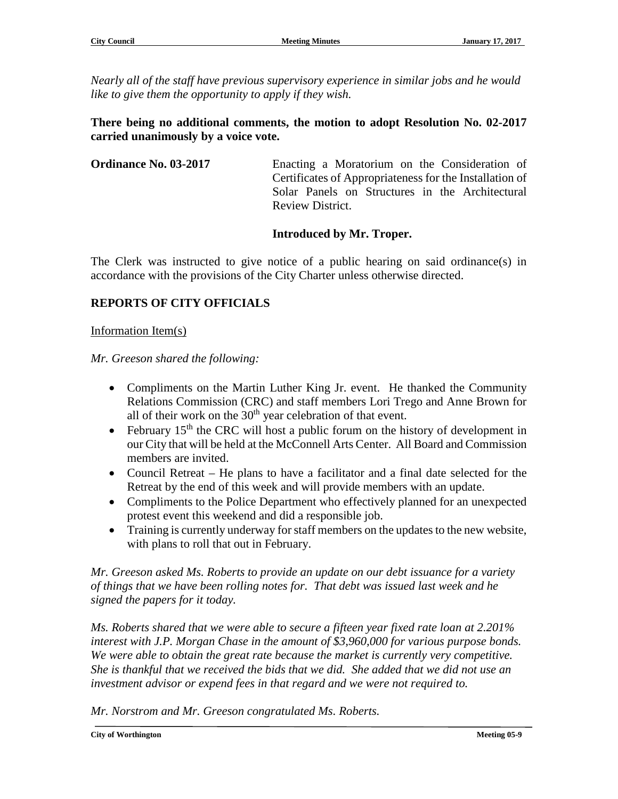*Nearly all of the staff have previous supervisory experience in similar jobs and he would like to give them the opportunity to apply if they wish.*

#### **There being no additional comments, the motion to adopt Resolution No. 02-2017 carried unanimously by a voice vote.**

| <b>Ordinance No. 03-2017</b> | Enacting a Moratorium on the Consideration of           |
|------------------------------|---------------------------------------------------------|
|                              | Certificates of Appropriateness for the Installation of |
|                              | Solar Panels on Structures in the Architectural         |
|                              | Review District.                                        |

#### **Introduced by Mr. Troper.**

The Clerk was instructed to give notice of a public hearing on said ordinance(s) in accordance with the provisions of the City Charter unless otherwise directed.

#### **REPORTS OF CITY OFFICIALS**

#### Information Item(s)

*Mr. Greeson shared the following:*

- Compliments on the Martin Luther King Jr. event. He thanked the Community Relations Commission (CRC) and staff members Lori Trego and Anne Brown for all of their work on the  $30<sup>th</sup>$  year celebration of that event.
- February  $15<sup>th</sup>$  the CRC will host a public forum on the history of development in our City that will be held at the McConnell Arts Center. All Board and Commission members are invited.
- Council Retreat He plans to have a facilitator and a final date selected for the Retreat by the end of this week and will provide members with an update.
- Compliments to the Police Department who effectively planned for an unexpected protest event this weekend and did a responsible job.
- Training is currently underway for staff members on the updates to the new website, with plans to roll that out in February.

*Mr. Greeson asked Ms. Roberts to provide an update on our debt issuance for a variety of things that we have been rolling notes for. That debt was issued last week and he signed the papers for it today.*

*Ms. Roberts shared that we were able to secure a fifteen year fixed rate loan at 2.201% interest with J.P. Morgan Chase in the amount of \$3,960,000 for various purpose bonds. We were able to obtain the great rate because the market is currently very competitive. She is thankful that we received the bids that we did. She added that we did not use an investment advisor or expend fees in that regard and we were not required to.* 

*Mr. Norstrom and Mr. Greeson congratulated Ms. Roberts.*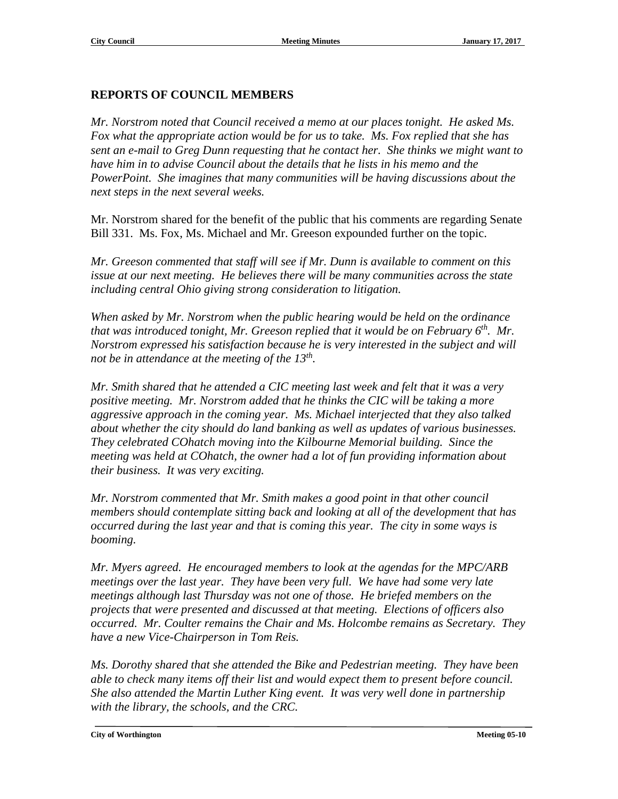#### **REPORTS OF COUNCIL MEMBERS**

*Mr. Norstrom noted that Council received a memo at our places tonight. He asked Ms. Fox what the appropriate action would be for us to take. Ms. Fox replied that she has sent an e-mail to Greg Dunn requesting that he contact her. She thinks we might want to have him in to advise Council about the details that he lists in his memo and the PowerPoint. She imagines that many communities will be having discussions about the next steps in the next several weeks.* 

Mr. Norstrom shared for the benefit of the public that his comments are regarding Senate Bill 331. Ms. Fox, Ms. Michael and Mr. Greeson expounded further on the topic.

*Mr. Greeson commented that staff will see if Mr. Dunn is available to comment on this issue at our next meeting. He believes there will be many communities across the state including central Ohio giving strong consideration to litigation.*

*When asked by Mr. Norstrom when the public hearing would be held on the ordinance that was introduced tonight, Mr. Greeson replied that it would be on February 6th. Mr. Norstrom expressed his satisfaction because he is very interested in the subject and will not be in attendance at the meeting of the 13th.* 

*Mr. Smith shared that he attended a CIC meeting last week and felt that it was a very positive meeting. Mr. Norstrom added that he thinks the CIC will be taking a more aggressive approach in the coming year. Ms. Michael interjected that they also talked about whether the city should do land banking as well as updates of various businesses. They celebrated COhatch moving into the Kilbourne Memorial building. Since the meeting was held at COhatch, the owner had a lot of fun providing information about their business. It was very exciting.*

*Mr. Norstrom commented that Mr. Smith makes a good point in that other council members should contemplate sitting back and looking at all of the development that has occurred during the last year and that is coming this year. The city in some ways is booming.*

*Mr. Myers agreed. He encouraged members to look at the agendas for the MPC/ARB meetings over the last year. They have been very full. We have had some very late meetings although last Thursday was not one of those. He briefed members on the projects that were presented and discussed at that meeting. Elections of officers also occurred. Mr. Coulter remains the Chair and Ms. Holcombe remains as Secretary. They have a new Vice-Chairperson in Tom Reis.*

*Ms. Dorothy shared that she attended the Bike and Pedestrian meeting. They have been able to check many items off their list and would expect them to present before council. She also attended the Martin Luther King event. It was very well done in partnership with the library, the schools, and the CRC.*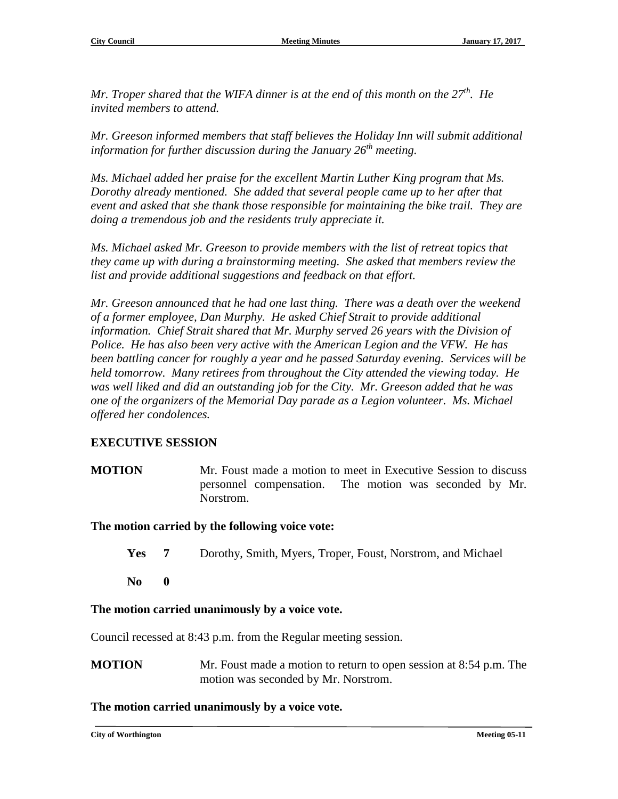*Mr. Troper shared that the WIFA dinner is at the end of this month on the 27<sup>th</sup>. He invited members to attend.*

*Mr. Greeson informed members that staff believes the Holiday Inn will submit additional information for further discussion during the January 26th meeting.*

*Ms. Michael added her praise for the excellent Martin Luther King program that Ms. Dorothy already mentioned. She added that several people came up to her after that event and asked that she thank those responsible for maintaining the bike trail. They are doing a tremendous job and the residents truly appreciate it.*

*Ms. Michael asked Mr. Greeson to provide members with the list of retreat topics that they came up with during a brainstorming meeting. She asked that members review the list and provide additional suggestions and feedback on that effort.*

*Mr. Greeson announced that he had one last thing. There was a death over the weekend of a former employee, Dan Murphy. He asked Chief Strait to provide additional information. Chief Strait shared that Mr. Murphy served 26 years with the Division of Police. He has also been very active with the American Legion and the VFW. He has been battling cancer for roughly a year and he passed Saturday evening. Services will be held tomorrow. Many retirees from throughout the City attended the viewing today. He was well liked and did an outstanding job for the City. Mr. Greeson added that he was one of the organizers of the Memorial Day parade as a Legion volunteer. Ms. Michael offered her condolences.*

#### **EXECUTIVE SESSION**

**MOTION** Mr. Foust made a motion to meet in Executive Session to discuss personnel compensation. The motion was seconded by Mr. Norstrom.

#### **The motion carried by the following voice vote:**

- **Yes 7** Dorothy, Smith, Myers, Troper, Foust, Norstrom, and Michael
- **No 0**

#### **The motion carried unanimously by a voice vote.**

Council recessed at 8:43 p.m. from the Regular meeting session.

**MOTION** Mr. Foust made a motion to return to open session at 8:54 p.m. The motion was seconded by Mr. Norstrom.

#### **The motion carried unanimously by a voice vote.**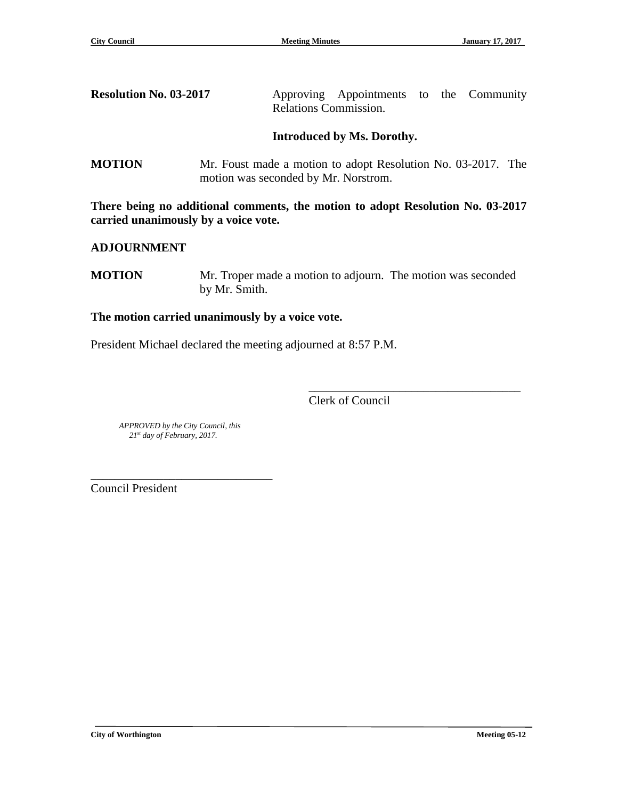| <b>Resolution No. 03-2017</b> |                       | Approving Appointments to the Community |  |  |
|-------------------------------|-----------------------|-----------------------------------------|--|--|
|                               | Relations Commission. |                                         |  |  |

#### **Introduced by Ms. Dorothy.**

**MOTION** Mr. Foust made a motion to adopt Resolution No. 03-2017. The motion was seconded by Mr. Norstrom.

**There being no additional comments, the motion to adopt Resolution No. 03-2017 carried unanimously by a voice vote.**

#### **ADJOURNMENT**

**MOTION** Mr. Troper made a motion to adjourn. The motion was seconded by Mr. Smith.

#### **The motion carried unanimously by a voice vote.**

President Michael declared the meeting adjourned at 8:57 P.M.

Clerk of Council

\_\_\_\_\_\_\_\_\_\_\_\_\_\_\_\_\_\_\_\_\_\_\_\_\_\_\_\_\_\_\_\_\_\_\_

 *APPROVED by the City Council, this 21st day of February, 2017.*

\_\_\_\_\_\_\_\_\_\_\_\_\_\_\_\_\_\_\_\_\_\_\_\_\_\_\_\_\_\_

Council President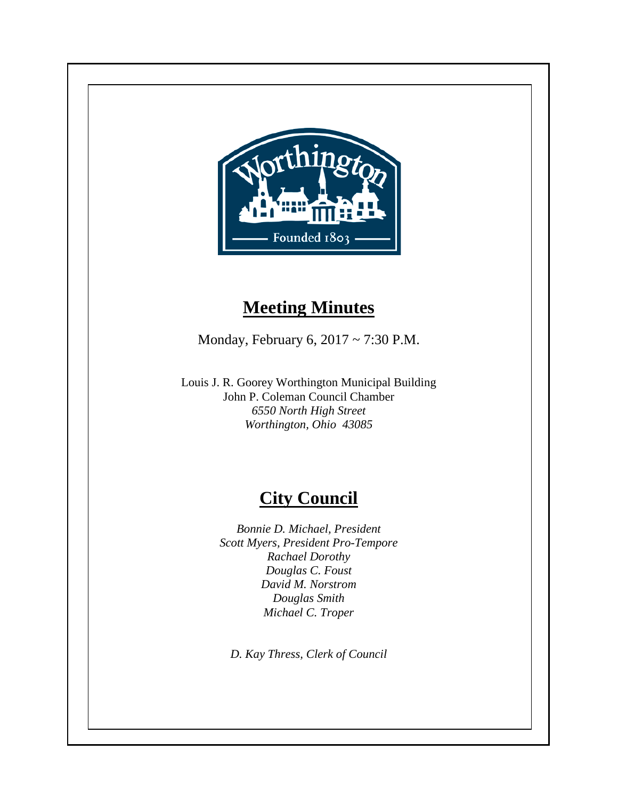

## **Meeting Minutes**

Monday, February 6, 2017 ~ 7:30 P.M.

Louis J. R. Goorey Worthington Municipal Building John P. Coleman Council Chamber *6550 North High Street Worthington, Ohio 43085*

## **City Council**

*Bonnie D. Michael, President Scott Myers, President Pro-Tempore Rachael Dorothy Douglas C. Foust David M. Norstrom Douglas Smith Michael C. Troper*

*D. Kay Thress, Clerk of Council*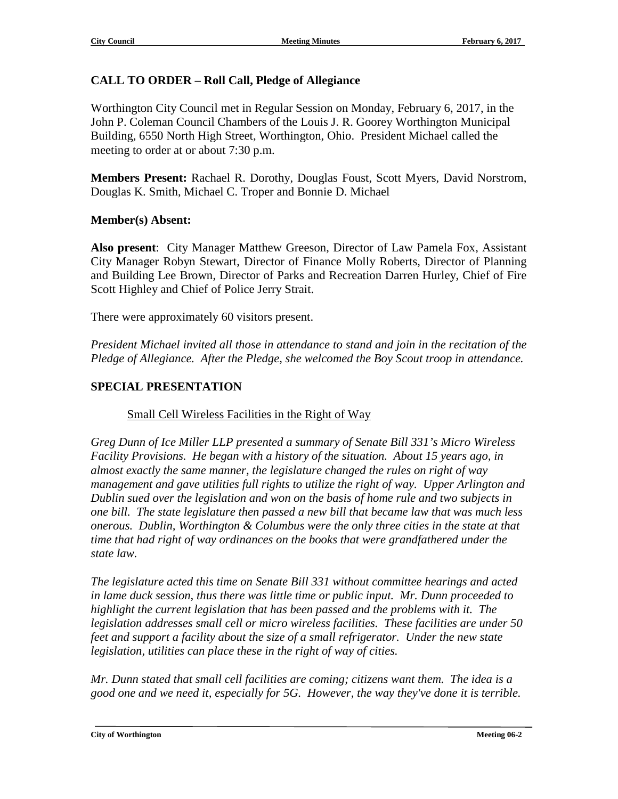### **CALL TO ORDER – Roll Call, Pledge of Allegiance**

Worthington City Council met in Regular Session on Monday, February 6, 2017, in the John P. Coleman Council Chambers of the Louis J. R. Goorey Worthington Municipal Building, 6550 North High Street, Worthington, Ohio. President Michael called the meeting to order at or about 7:30 p.m.

**Members Present:** Rachael R. Dorothy, Douglas Foust, Scott Myers, David Norstrom, Douglas K. Smith, Michael C. Troper and Bonnie D. Michael

#### **Member(s) Absent:**

**Also present**: City Manager Matthew Greeson, Director of Law Pamela Fox, Assistant City Manager Robyn Stewart, Director of Finance Molly Roberts, Director of Planning and Building Lee Brown, Director of Parks and Recreation Darren Hurley, Chief of Fire Scott Highley and Chief of Police Jerry Strait.

There were approximately 60 visitors present.

*President Michael invited all those in attendance to stand and join in the recitation of the Pledge of Allegiance. After the Pledge, she welcomed the Boy Scout troop in attendance.*

#### **SPECIAL PRESENTATION**

Small Cell Wireless Facilities in the Right of Way

*Greg Dunn of Ice Miller LLP presented a summary of Senate Bill 331's Micro Wireless Facility Provisions. He began with a history of the situation. About 15 years ago, in almost exactly the same manner, the legislature changed the rules on right of way management and gave utilities full rights to utilize the right of way. Upper Arlington and Dublin sued over the legislation and won on the basis of home rule and two subjects in one bill. The state legislature then passed a new bill that became law that was much less onerous. Dublin, Worthington & Columbus were the only three cities in the state at that time that had right of way ordinances on the books that were grandfathered under the state law.*

*The legislature acted this time on Senate Bill 331 without committee hearings and acted in lame duck session, thus there was little time or public input. Mr. Dunn proceeded to highlight the current legislation that has been passed and the problems with it. The legislation addresses small cell or micro wireless facilities. These facilities are under 50 feet and support a facility about the size of a small refrigerator. Under the new state legislation, utilities can place these in the right of way of cities.*

*Mr. Dunn stated that small cell facilities are coming; citizens want them. The idea is a good one and we need it, especially for 5G. However, the way they've done it is terrible.*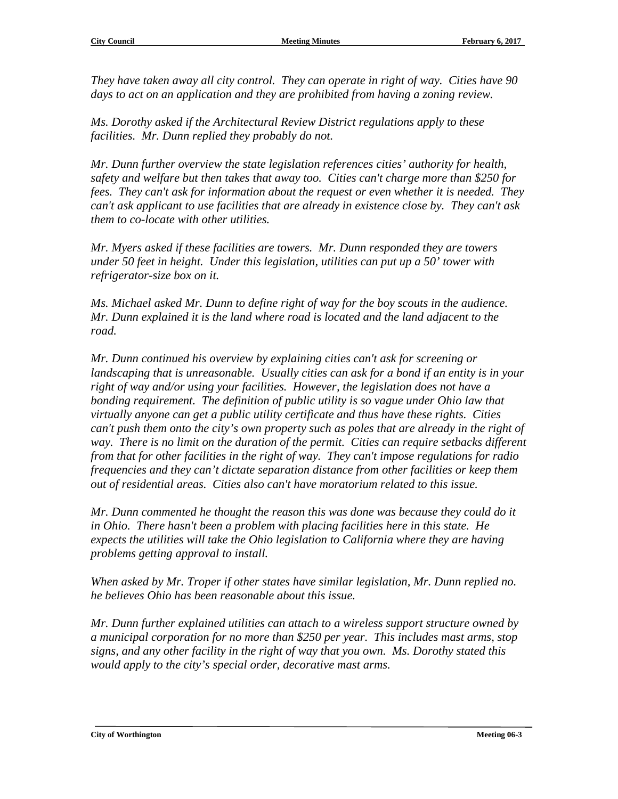*They have taken away all city control. They can operate in right of way. Cities have 90 days to act on an application and they are prohibited from having a zoning review.*

*Ms. Dorothy asked if the Architectural Review District regulations apply to these facilities. Mr. Dunn replied they probably do not.*

*Mr. Dunn further overview the state legislation references cities' authority for health, safety and welfare but then takes that away too. Cities can't charge more than \$250 for fees. They can't ask for information about the request or even whether it is needed. They can't ask applicant to use facilities that are already in existence close by. They can't ask them to co-locate with other utilities.*

*Mr. Myers asked if these facilities are towers. Mr. Dunn responded they are towers under 50 feet in height. Under this legislation, utilities can put up a 50' tower with refrigerator-size box on it.*

*Ms. Michael asked Mr. Dunn to define right of way for the boy scouts in the audience. Mr. Dunn explained it is the land where road is located and the land adjacent to the road.*

*Mr. Dunn continued his overview by explaining cities can't ask for screening or landscaping that is unreasonable. Usually cities can ask for a bond if an entity is in your right of way and/or using your facilities. However, the legislation does not have a bonding requirement. The definition of public utility is so vague under Ohio law that virtually anyone can get a public utility certificate and thus have these rights. Cities can't push them onto the city's own property such as poles that are already in the right of way. There is no limit on the duration of the permit. Cities can require setbacks different from that for other facilities in the right of way. They can't impose regulations for radio frequencies and they can't dictate separation distance from other facilities or keep them out of residential areas. Cities also can't have moratorium related to this issue.* 

*Mr. Dunn commented he thought the reason this was done was because they could do it in Ohio. There hasn't been a problem with placing facilities here in this state. He expects the utilities will take the Ohio legislation to California where they are having problems getting approval to install.*

*When asked by Mr. Troper if other states have similar legislation, Mr. Dunn replied no. he believes Ohio has been reasonable about this issue.*

*Mr. Dunn further explained utilities can attach to a wireless support structure owned by a municipal corporation for no more than \$250 per year. This includes mast arms, stop signs, and any other facility in the right of way that you own. Ms. Dorothy stated this would apply to the city's special order, decorative mast arms.*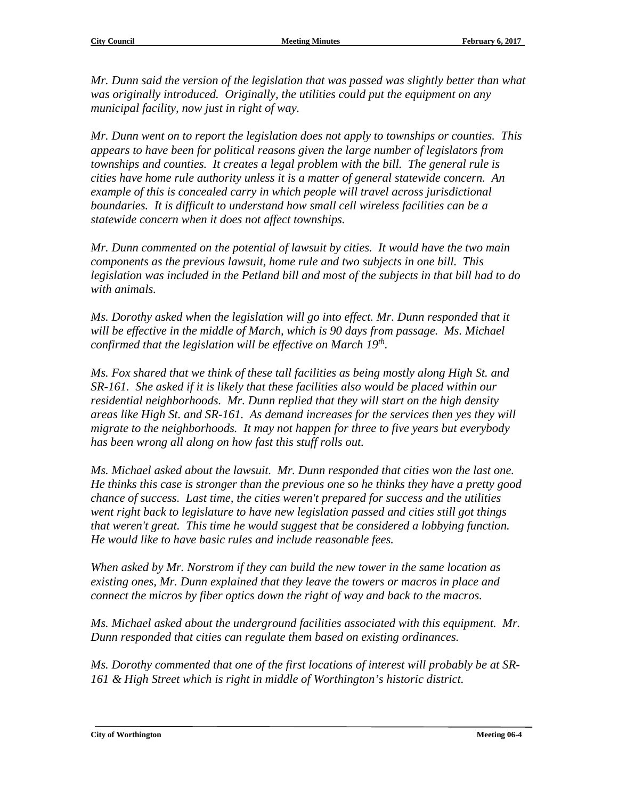*Mr. Dunn said the version of the legislation that was passed was slightly better than what was originally introduced. Originally, the utilities could put the equipment on any municipal facility, now just in right of way.*

*Mr. Dunn went on to report the legislation does not apply to townships or counties. This appears to have been for political reasons given the large number of legislators from townships and counties. It creates a legal problem with the bill. The general rule is cities have home rule authority unless it is a matter of general statewide concern. An example of this is concealed carry in which people will travel across jurisdictional boundaries. It is difficult to understand how small cell wireless facilities can be a statewide concern when it does not affect townships.*

*Mr. Dunn commented on the potential of lawsuit by cities. It would have the two main components as the previous lawsuit, home rule and two subjects in one bill. This legislation was included in the Petland bill and most of the subjects in that bill had to do with animals.*

*Ms. Dorothy asked when the legislation will go into effect. Mr. Dunn responded that it will be effective in the middle of March, which is 90 days from passage. Ms. Michael confirmed that the legislation will be effective on March 19th.*

*Ms. Fox shared that we think of these tall facilities as being mostly along High St. and SR-161. She asked if it is likely that these facilities also would be placed within our residential neighborhoods. Mr. Dunn replied that they will start on the high density areas like High St. and SR-161. As demand increases for the services then yes they will migrate to the neighborhoods. It may not happen for three to five years but everybody has been wrong all along on how fast this stuff rolls out.* 

*Ms. Michael asked about the lawsuit. Mr. Dunn responded that cities won the last one. He thinks this case is stronger than the previous one so he thinks they have a pretty good chance of success. Last time, the cities weren't prepared for success and the utilities went right back to legislature to have new legislation passed and cities still got things that weren't great. This time he would suggest that be considered a lobbying function. He would like to have basic rules and include reasonable fees.*

*When asked by Mr. Norstrom if they can build the new tower in the same location as existing ones, Mr. Dunn explained that they leave the towers or macros in place and connect the micros by fiber optics down the right of way and back to the macros.*

*Ms. Michael asked about the underground facilities associated with this equipment. Mr. Dunn responded that cities can regulate them based on existing ordinances.* 

*Ms. Dorothy commented that one of the first locations of interest will probably be at SR-161 & High Street which is right in middle of Worthington's historic district.*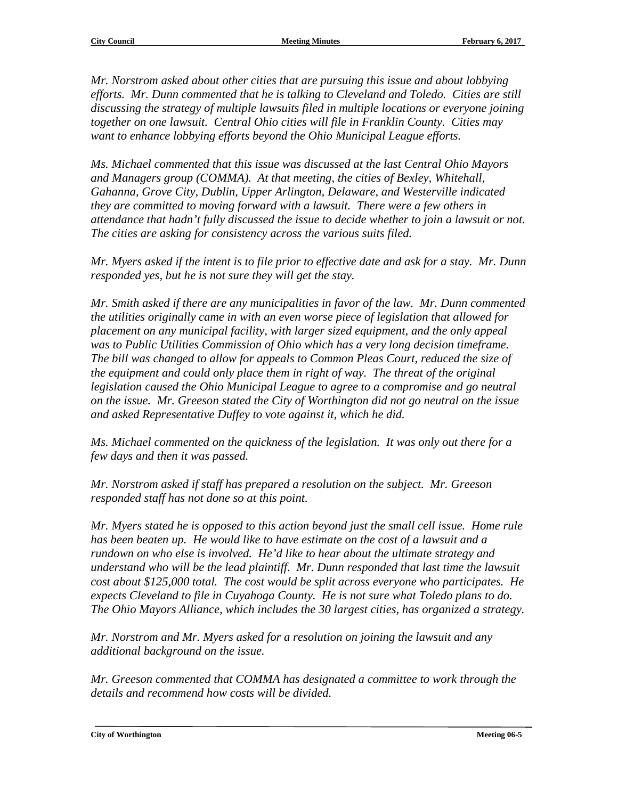*Mr. Norstrom asked about other cities that are pursuing this issue and about lobbying efforts. Mr. Dunn commented that he is talking to Cleveland and Toledo. Cities are still discussing the strategy of multiple lawsuits filed in multiple locations or everyone joining together on one lawsuit. Central Ohio cities will file in Franklin County. Cities may want to enhance lobbying efforts beyond the Ohio Municipal League efforts.*

*Ms. Michael commented that this issue was discussed at the last Central Ohio Mayors and Managers group (COMMA). At that meeting, the cities of Bexley, Whitehall, Gahanna, Grove City, Dublin, Upper Arlington, Delaware, and Westerville indicated they are committed to moving forward with a lawsuit. There were a few others in attendance that hadn't fully discussed the issue to decide whether to join a lawsuit or not. The cities are asking for consistency across the various suits filed.*

*Mr. Myers asked if the intent is to file prior to effective date and ask for a stay. Mr. Dunn responded yes, but he is not sure they will get the stay.*

*Mr. Smith asked if there are any municipalities in favor of the law. Mr. Dunn commented the utilities originally came in with an even worse piece of legislation that allowed for placement on any municipal facility, with larger sized equipment, and the only appeal was to Public Utilities Commission of Ohio which has a very long decision timeframe. The bill was changed to allow for appeals to Common Pleas Court, reduced the size of the equipment and could only place them in right of way. The threat of the original legislation caused the Ohio Municipal League to agree to a compromise and go neutral on the issue. Mr. Greeson stated the City of Worthington did not go neutral on the issue and asked Representative Duffey to vote against it, which he did.*

*Ms. Michael commented on the quickness of the legislation. It was only out there for a few days and then it was passed.*

*Mr. Norstrom asked if staff has prepared a resolution on the subject. Mr. Greeson responded staff has not done so at this point.*

*Mr. Myers stated he is opposed to this action beyond just the small cell issue. Home rule has been beaten up. He would like to have estimate on the cost of a lawsuit and a rundown on who else is involved. He'd like to hear about the ultimate strategy and understand who will be the lead plaintiff. Mr. Dunn responded that last time the lawsuit cost about \$125,000 total. The cost would be split across everyone who participates. He expects Cleveland to file in Cuyahoga County. He is not sure what Toledo plans to do. The Ohio Mayors Alliance, which includes the 30 largest cities, has organized a strategy.*

*Mr. Norstrom and Mr. Myers asked for a resolution on joining the lawsuit and any additional background on the issue.*

*Mr. Greeson commented that COMMA has designated a committee to work through the details and recommend how costs will be divided.*

**City of Worthington Meeting 06-5**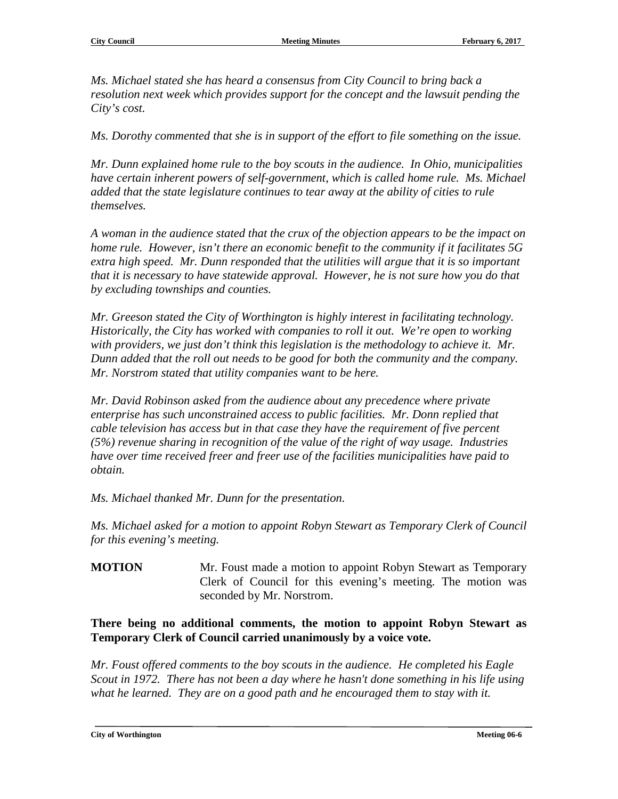*Ms. Michael stated she has heard a consensus from City Council to bring back a resolution next week which provides support for the concept and the lawsuit pending the City's cost.*

*Ms. Dorothy commented that she is in support of the effort to file something on the issue.*

*Mr. Dunn explained home rule to the boy scouts in the audience. In Ohio, municipalities have certain inherent powers of self-government, which is called home rule. Ms. Michael added that the state legislature continues to tear away at the ability of cities to rule themselves.* 

*A woman in the audience stated that the crux of the objection appears to be the impact on home rule. However, isn't there an economic benefit to the community if it facilitates 5G extra high speed. Mr. Dunn responded that the utilities will argue that it is so important that it is necessary to have statewide approval. However, he is not sure how you do that by excluding townships and counties.* 

*Mr. Greeson stated the City of Worthington is highly interest in facilitating technology. Historically, the City has worked with companies to roll it out. We're open to working with providers, we just don't think this legislation is the methodology to achieve it. Mr. Dunn added that the roll out needs to be good for both the community and the company. Mr. Norstrom stated that utility companies want to be here.*

*Mr. David Robinson asked from the audience about any precedence where private enterprise has such unconstrained access to public facilities. Mr. Donn replied that cable television has access but in that case they have the requirement of five percent (5%) revenue sharing in recognition of the value of the right of way usage. Industries have over time received freer and freer use of the facilities municipalities have paid to obtain.*

*Ms. Michael thanked Mr. Dunn for the presentation.*

*Ms. Michael asked for a motion to appoint Robyn Stewart as Temporary Clerk of Council for this evening's meeting.*

**MOTION** Mr. Foust made a motion to appoint Robyn Stewart as Temporary Clerk of Council for this evening's meeting. The motion was seconded by Mr. Norstrom.

**There being no additional comments, the motion to appoint Robyn Stewart as Temporary Clerk of Council carried unanimously by a voice vote.**

*Mr. Foust offered comments to the boy scouts in the audience. He completed his Eagle Scout in 1972. There has not been a day where he hasn't done something in his life using what he learned. They are on a good path and he encouraged them to stay with it.*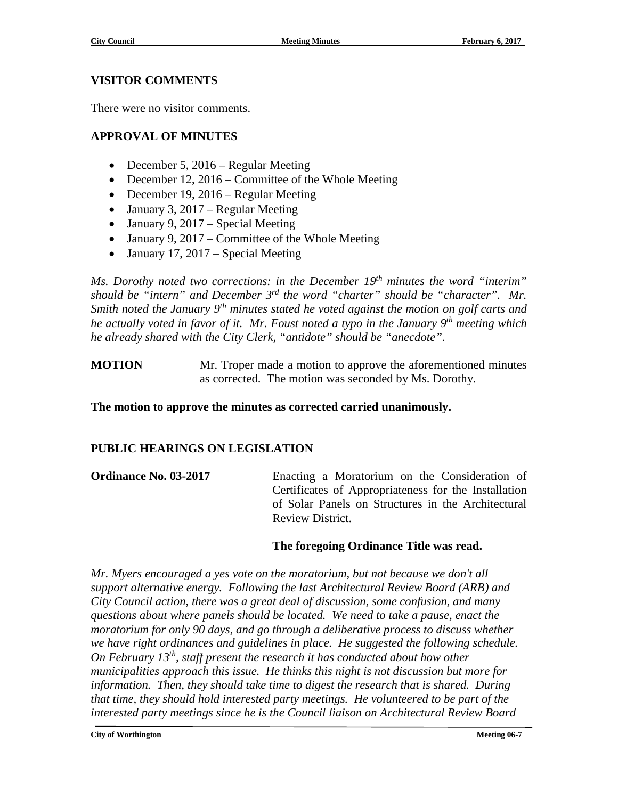#### **VISITOR COMMENTS**

There were no visitor comments.

### **APPROVAL OF MINUTES**

- December 5, 2016 Regular Meeting
- December 12, 2016 Committee of the Whole Meeting
- December 19, 2016 Regular Meeting
- January 3, 2017 Regular Meeting
- January 9, 2017 Special Meeting
- January 9, 2017 Committee of the Whole Meeting
- January 17, 2017 Special Meeting

*Ms. Dorothy noted two corrections: in the December 19th minutes the word "interim" should be "intern" and December 3rd the word "charter" should be "character". Mr. Smith noted the January 9th minutes stated he voted against the motion on golf carts and he actually voted in favor of it. Mr. Foust noted a typo in the January 9th meeting which he already shared with the City Clerk, "antidote" should be "anecdote".*

**MOTION** Mr. Troper made a motion to approve the aforementioned minutes as corrected. The motion was seconded by Ms. Dorothy.

**The motion to approve the minutes as corrected carried unanimously.**

#### **PUBLIC HEARINGS ON LEGISLATION**

**Ordinance No. 03-2017** Enacting a Moratorium on the Consideration of Certificates of Appropriateness for the Installation of Solar Panels on Structures in the Architectural Review District.

#### **The foregoing Ordinance Title was read.**

*Mr. Myers encouraged a yes vote on the moratorium, but not because we don't all support alternative energy. Following the last Architectural Review Board (ARB) and City Council action, there was a great deal of discussion, some confusion, and many questions about where panels should be located. We need to take a pause, enact the moratorium for only 90 days, and go through a deliberative process to discuss whether we have right ordinances and guidelines in place. He suggested the following schedule. On February 13th, staff present the research it has conducted about how other municipalities approach this issue. He thinks this night is not discussion but more for information. Then, they should take time to digest the research that is shared. During that time, they should hold interested party meetings. He volunteered to be part of the interested party meetings since he is the Council liaison on Architectural Review Board*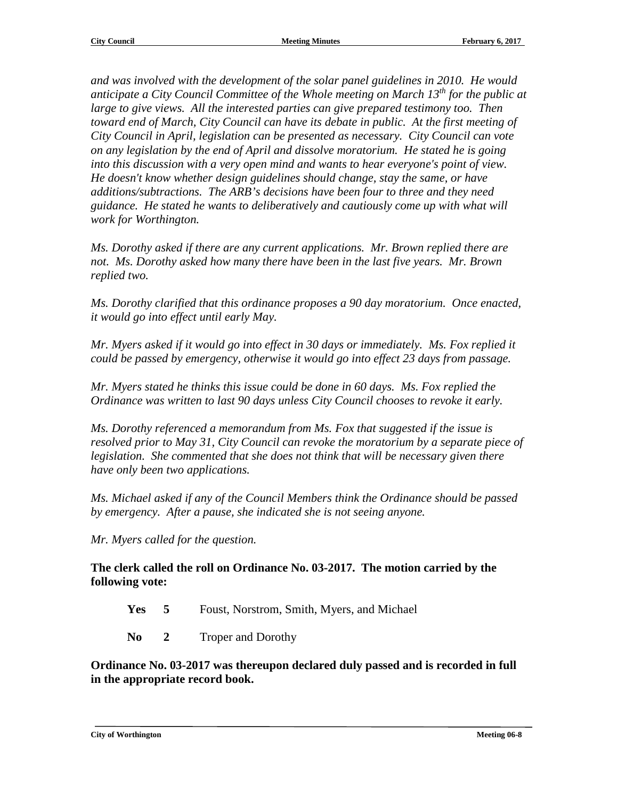*and was involved with the development of the solar panel guidelines in 2010. He would anticipate a City Council Committee of the Whole meeting on March 13th for the public at large to give views. All the interested parties can give prepared testimony too. Then toward end of March, City Council can have its debate in public. At the first meeting of City Council in April, legislation can be presented as necessary. City Council can vote on any legislation by the end of April and dissolve moratorium. He stated he is going into this discussion with a very open mind and wants to hear everyone's point of view. He doesn't know whether design guidelines should change, stay the same, or have additions/subtractions. The ARB's decisions have been four to three and they need guidance. He stated he wants to deliberatively and cautiously come up with what will work for Worthington.*

*Ms. Dorothy asked if there are any current applications. Mr. Brown replied there are not. Ms. Dorothy asked how many there have been in the last five years. Mr. Brown replied two.*

*Ms. Dorothy clarified that this ordinance proposes a 90 day moratorium. Once enacted, it would go into effect until early May.*

*Mr. Myers asked if it would go into effect in 30 days or immediately. Ms. Fox replied it could be passed by emergency, otherwise it would go into effect 23 days from passage.*

*Mr. Myers stated he thinks this issue could be done in 60 days. Ms. Fox replied the Ordinance was written to last 90 days unless City Council chooses to revoke it early.*

*Ms. Dorothy referenced a memorandum from Ms. Fox that suggested if the issue is resolved prior to May 31, City Council can revoke the moratorium by a separate piece of legislation. She commented that she does not think that will be necessary given there have only been two applications.*

*Ms. Michael asked if any of the Council Members think the Ordinance should be passed by emergency. After a pause, she indicated she is not seeing anyone.*

*Mr. Myers called for the question.*

**The clerk called the roll on Ordinance No. 03-2017. The motion carried by the following vote:**

- **Yes 5** Foust, Norstrom, Smith, Myers, and Michael
- **No 2** Troper and Dorothy

**Ordinance No. 03-2017 was thereupon declared duly passed and is recorded in full in the appropriate record book.**

**City of Worthington Meeting 06-8**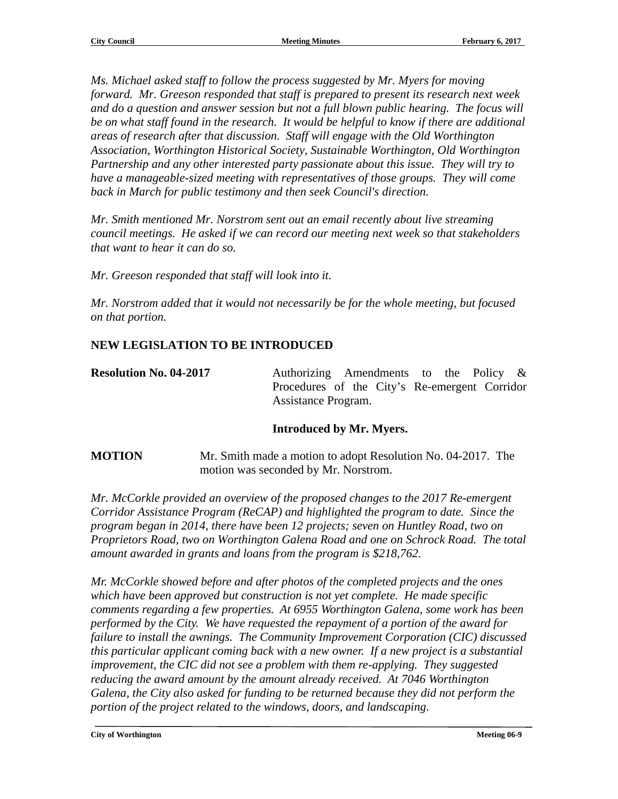*Ms. Michael asked staff to follow the process suggested by Mr. Myers for moving forward. Mr. Greeson responded that staff is prepared to present its research next week and do a question and answer session but not a full blown public hearing. The focus will be on what staff found in the research. It would be helpful to know if there are additional areas of research after that discussion. Staff will engage with the Old Worthington Association, Worthington Historical Society, Sustainable Worthington, Old Worthington Partnership and any other interested party passionate about this issue. They will try to have a manageable-sized meeting with representatives of those groups. They will come back in March for public testimony and then seek Council's direction.*

*Mr. Smith mentioned Mr. Norstrom sent out an email recently about live streaming council meetings. He asked if we can record our meeting next week so that stakeholders that want to hear it can do so.*

*Mr. Greeson responded that staff will look into it.*

*Mr. Norstrom added that it would not necessarily be for the whole meeting, but focused on that portion.*

#### **NEW LEGISLATION TO BE INTRODUCED**

**Resolution No. 04-2017** Authorizing Amendments to the Policy & Procedures of the City's Re-emergent Corridor Assistance Program.

#### **Introduced by Mr. Myers.**

**MOTION** Mr. Smith made a motion to adopt Resolution No. 04-2017. The motion was seconded by Mr. Norstrom.

*Mr. McCorkle provided an overview of the proposed changes to the 2017 Re-emergent Corridor Assistance Program (ReCAP) and highlighted the program to date. Since the program began in 2014, there have been 12 projects; seven on Huntley Road, two on Proprietors Road, two on Worthington Galena Road and one on Schrock Road. The total amount awarded in grants and loans from the program is \$218,762.*

*Mr. McCorkle showed before and after photos of the completed projects and the ones which have been approved but construction is not yet complete. He made specific comments regarding a few properties. At 6955 Worthington Galena, some work has been performed by the City. We have requested the repayment of a portion of the award for failure to install the awnings. The Community Improvement Corporation (CIC) discussed this particular applicant coming back with a new owner. If a new project is a substantial improvement, the CIC did not see a problem with them re-applying. They suggested reducing the award amount by the amount already received. At 7046 Worthington Galena, the City also asked for funding to be returned because they did not perform the portion of the project related to the windows, doors, and landscaping.*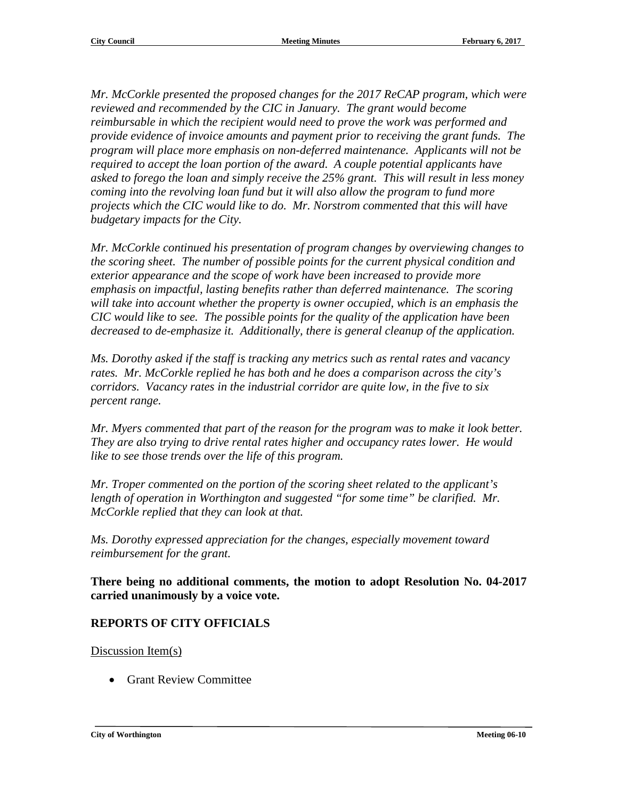*Mr. McCorkle presented the proposed changes for the 2017 ReCAP program, which were reviewed and recommended by the CIC in January. The grant would become reimbursable in which the recipient would need to prove the work was performed and provide evidence of invoice amounts and payment prior to receiving the grant funds. The program will place more emphasis on non-deferred maintenance. Applicants will not be required to accept the loan portion of the award. A couple potential applicants have asked to forego the loan and simply receive the 25% grant. This will result in less money coming into the revolving loan fund but it will also allow the program to fund more projects which the CIC would like to do. Mr. Norstrom commented that this will have budgetary impacts for the City.*

*Mr. McCorkle continued his presentation of program changes by overviewing changes to the scoring sheet. The number of possible points for the current physical condition and exterior appearance and the scope of work have been increased to provide more emphasis on impactful, lasting benefits rather than deferred maintenance. The scoring will take into account whether the property is owner occupied, which is an emphasis the CIC would like to see. The possible points for the quality of the application have been decreased to de-emphasize it. Additionally, there is general cleanup of the application.*

*Ms. Dorothy asked if the staff is tracking any metrics such as rental rates and vacancy rates. Mr. McCorkle replied he has both and he does a comparison across the city's corridors. Vacancy rates in the industrial corridor are quite low, in the five to six percent range.*

*Mr. Myers commented that part of the reason for the program was to make it look better. They are also trying to drive rental rates higher and occupancy rates lower. He would like to see those trends over the life of this program.*

*Mr. Troper commented on the portion of the scoring sheet related to the applicant's length of operation in Worthington and suggested "for some time" be clarified. Mr. McCorkle replied that they can look at that.*

*Ms. Dorothy expressed appreciation for the changes, especially movement toward reimbursement for the grant.*

**There being no additional comments, the motion to adopt Resolution No. 04-2017 carried unanimously by a voice vote.**

#### **REPORTS OF CITY OFFICIALS**

Discussion Item(s)

• Grant Review Committee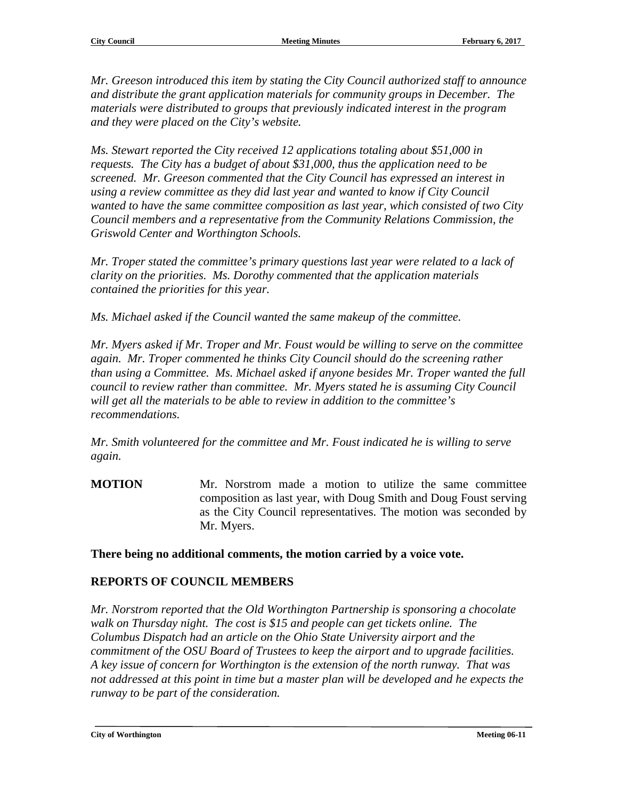*Mr. Greeson introduced this item by stating the City Council authorized staff to announce and distribute the grant application materials for community groups in December. The materials were distributed to groups that previously indicated interest in the program and they were placed on the City's website.*

*Ms. Stewart reported the City received 12 applications totaling about \$51,000 in requests. The City has a budget of about \$31,000, thus the application need to be screened. Mr. Greeson commented that the City Council has expressed an interest in using a review committee as they did last year and wanted to know if City Council wanted to have the same committee composition as last year, which consisted of two City Council members and a representative from the Community Relations Commission, the Griswold Center and Worthington Schools.*

*Mr. Troper stated the committee's primary questions last year were related to a lack of clarity on the priorities. Ms. Dorothy commented that the application materials contained the priorities for this year.*

*Ms. Michael asked if the Council wanted the same makeup of the committee.* 

*Mr. Myers asked if Mr. Troper and Mr. Foust would be willing to serve on the committee again. Mr. Troper commented he thinks City Council should do the screening rather than using a Committee. Ms. Michael asked if anyone besides Mr. Troper wanted the full council to review rather than committee. Mr. Myers stated he is assuming City Council will get all the materials to be able to review in addition to the committee's recommendations.*

*Mr. Smith volunteered for the committee and Mr. Foust indicated he is willing to serve again.*

**MOTION** Mr. Norstrom made a motion to utilize the same committee composition as last year, with Doug Smith and Doug Foust serving as the City Council representatives. The motion was seconded by Mr. Myers.

**There being no additional comments, the motion carried by a voice vote.**

#### **REPORTS OF COUNCIL MEMBERS**

*Mr. Norstrom reported that the Old Worthington Partnership is sponsoring a chocolate walk on Thursday night. The cost is \$15 and people can get tickets online. The Columbus Dispatch had an article on the Ohio State University airport and the commitment of the OSU Board of Trustees to keep the airport and to upgrade facilities. A key issue of concern for Worthington is the extension of the north runway. That was not addressed at this point in time but a master plan will be developed and he expects the runway to be part of the consideration.*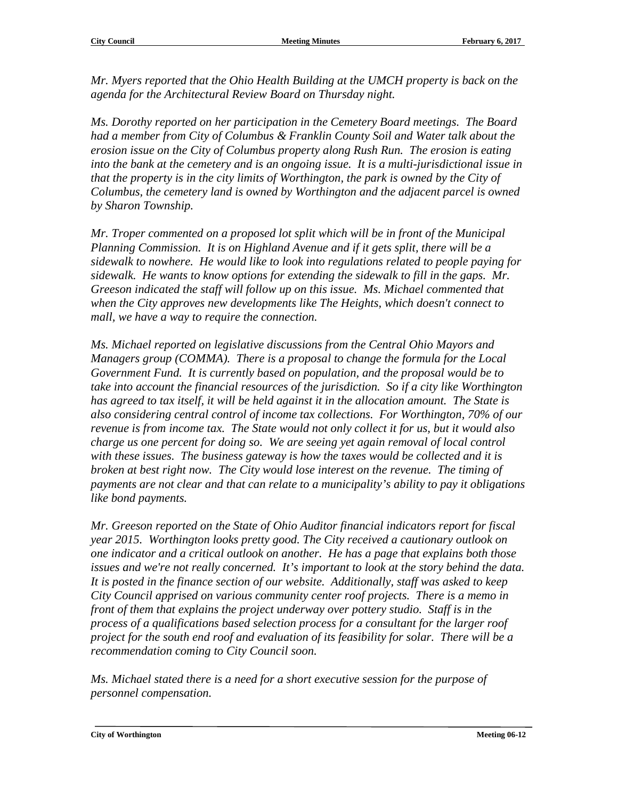*Mr. Myers reported that the Ohio Health Building at the UMCH property is back on the agenda for the Architectural Review Board on Thursday night.*

*Ms. Dorothy reported on her participation in the Cemetery Board meetings. The Board had a member from City of Columbus & Franklin County Soil and Water talk about the erosion issue on the City of Columbus property along Rush Run. The erosion is eating into the bank at the cemetery and is an ongoing issue. It is a multi-jurisdictional issue in that the property is in the city limits of Worthington, the park is owned by the City of Columbus, the cemetery land is owned by Worthington and the adjacent parcel is owned by Sharon Township.*

*Mr. Troper commented on a proposed lot split which will be in front of the Municipal Planning Commission. It is on Highland Avenue and if it gets split, there will be a sidewalk to nowhere. He would like to look into regulations related to people paying for sidewalk. He wants to know options for extending the sidewalk to fill in the gaps. Mr. Greeson indicated the staff will follow up on this issue. Ms. Michael commented that when the City approves new developments like The Heights, which doesn't connect to mall, we have a way to require the connection.*

*Ms. Michael reported on legislative discussions from the Central Ohio Mayors and Managers group (COMMA). There is a proposal to change the formula for the Local Government Fund. It is currently based on population, and the proposal would be to take into account the financial resources of the jurisdiction. So if a city like Worthington has agreed to tax itself, it will be held against it in the allocation amount. The State is also considering central control of income tax collections. For Worthington, 70% of our revenue is from income tax. The State would not only collect it for us, but it would also charge us one percent for doing so. We are seeing yet again removal of local control with these issues. The business gateway is how the taxes would be collected and it is broken at best right now. The City would lose interest on the revenue. The timing of payments are not clear and that can relate to a municipality's ability to pay it obligations like bond payments.*

*Mr. Greeson reported on the State of Ohio Auditor financial indicators report for fiscal year 2015. Worthington looks pretty good. The City received a cautionary outlook on one indicator and a critical outlook on another. He has a page that explains both those issues and we're not really concerned. It's important to look at the story behind the data. It is posted in the finance section of our website. Additionally, staff was asked to keep City Council apprised on various community center roof projects. There is a memo in front of them that explains the project underway over pottery studio. Staff is in the process of a qualifications based selection process for a consultant for the larger roof project for the south end roof and evaluation of its feasibility for solar. There will be a recommendation coming to City Council soon.*

*Ms. Michael stated there is a need for a short executive session for the purpose of personnel compensation.*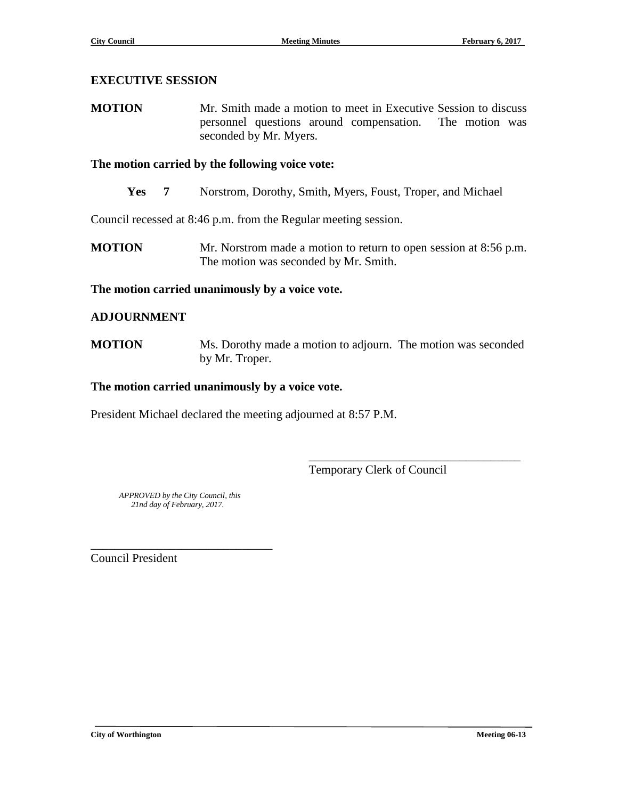#### **EXECUTIVE SESSION**

**MOTION** Mr. Smith made a motion to meet in Executive Session to discuss personnel questions around compensation. The motion was seconded by Mr. Myers.

#### **The motion carried by the following voice vote:**

**Yes 7** Norstrom, Dorothy, Smith, Myers, Foust, Troper, and Michael

Council recessed at 8:46 p.m. from the Regular meeting session.

**MOTION** Mr. Norstrom made a motion to return to open session at 8:56 p.m. The motion was seconded by Mr. Smith.

#### **The motion carried unanimously by a voice vote.**

#### **ADJOURNMENT**

**MOTION** Ms. Dorothy made a motion to adjourn. The motion was seconded by Mr. Troper.

#### **The motion carried unanimously by a voice vote.**

President Michael declared the meeting adjourned at 8:57 P.M.

Temporary Clerk of Council

\_\_\_\_\_\_\_\_\_\_\_\_\_\_\_\_\_\_\_\_\_\_\_\_\_\_\_\_\_\_\_\_\_\_\_

 *APPROVED by the City Council, this 21nd day of February, 2017.*

\_\_\_\_\_\_\_\_\_\_\_\_\_\_\_\_\_\_\_\_\_\_\_\_\_\_\_\_\_\_

Council President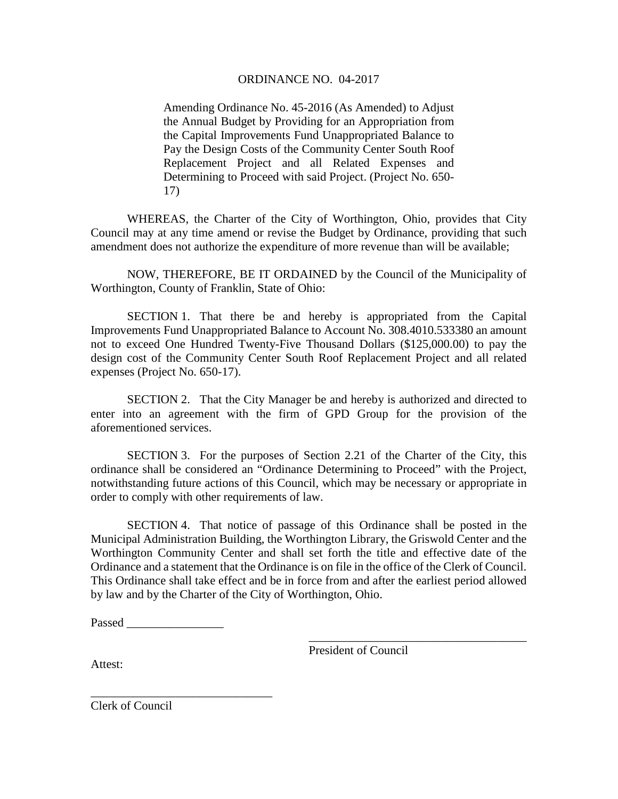#### ORDINANCE NO. 04-2017

Amending Ordinance No. 45-2016 (As Amended) to Adjust the Annual Budget by Providing for an Appropriation from the Capital Improvements Fund Unappropriated Balance to Pay the Design Costs of the Community Center South Roof Replacement Project and all Related Expenses and Determining to Proceed with said Project. (Project No. 650- 17)

WHEREAS, the Charter of the City of Worthington, Ohio, provides that City Council may at any time amend or revise the Budget by Ordinance, providing that such amendment does not authorize the expenditure of more revenue than will be available;

NOW, THEREFORE, BE IT ORDAINED by the Council of the Municipality of Worthington, County of Franklin, State of Ohio:

SECTION 1. That there be and hereby is appropriated from the Capital Improvements Fund Unappropriated Balance to Account No. 308.4010.533380 an amount not to exceed One Hundred Twenty-Five Thousand Dollars (\$125,000.00) to pay the design cost of the Community Center South Roof Replacement Project and all related expenses (Project No. 650-17).

SECTION 2. That the City Manager be and hereby is authorized and directed to enter into an agreement with the firm of GPD Group for the provision of the aforementioned services.

SECTION 3. For the purposes of Section 2.21 of the Charter of the City, this ordinance shall be considered an "Ordinance Determining to Proceed" with the Project, notwithstanding future actions of this Council, which may be necessary or appropriate in order to comply with other requirements of law.

SECTION 4. That notice of passage of this Ordinance shall be posted in the Municipal Administration Building, the Worthington Library, the Griswold Center and the Worthington Community Center and shall set forth the title and effective date of the Ordinance and a statement that the Ordinance is on file in the office of the Clerk of Council. This Ordinance shall take effect and be in force from and after the earliest period allowed by law and by the Charter of the City of Worthington, Ohio.

Passed  $\Box$ 

\_\_\_\_\_\_\_\_\_\_\_\_\_\_\_\_\_\_\_\_\_\_\_\_\_\_\_\_\_\_

President of Council

\_\_\_\_\_\_\_\_\_\_\_\_\_\_\_\_\_\_\_\_\_\_\_\_\_\_\_\_\_\_\_\_\_\_\_\_

Attest:

Clerk of Council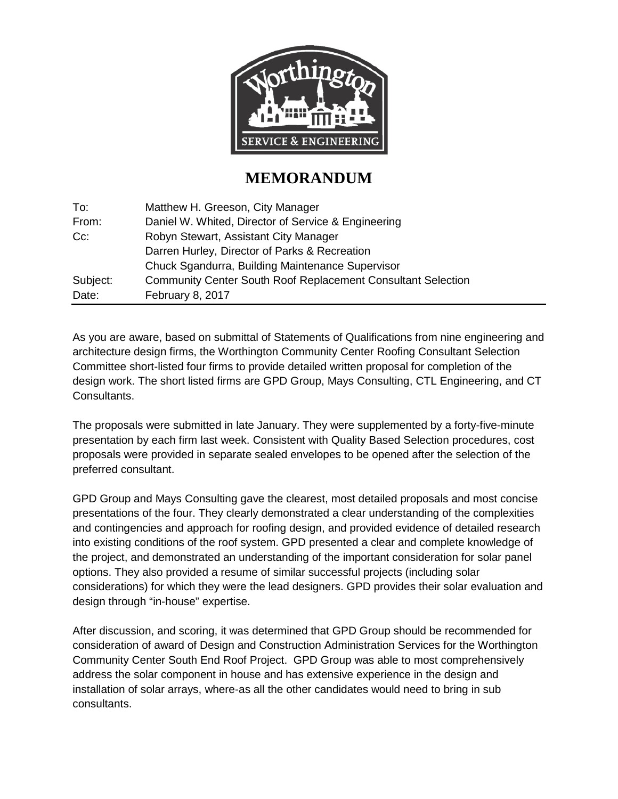

## **MEMORANDUM**

| To:      | Matthew H. Greeson, City Manager                                    |
|----------|---------------------------------------------------------------------|
| From:    | Daniel W. Whited, Director of Service & Engineering                 |
| $Cc$ :   | Robyn Stewart, Assistant City Manager                               |
|          | Darren Hurley, Director of Parks & Recreation                       |
|          | Chuck Sgandurra, Building Maintenance Supervisor                    |
| Subject: | <b>Community Center South Roof Replacement Consultant Selection</b> |
| Date:    | February 8, 2017                                                    |

As you are aware, based on submittal of Statements of Qualifications from nine engineering and architecture design firms, the Worthington Community Center Roofing Consultant Selection Committee short-listed four firms to provide detailed written proposal for completion of the design work. The short listed firms are GPD Group, Mays Consulting, CTL Engineering, and CT Consultants.

The proposals were submitted in late January. They were supplemented by a forty-five-minute presentation by each firm last week. Consistent with Quality Based Selection procedures, cost proposals were provided in separate sealed envelopes to be opened after the selection of the preferred consultant.

GPD Group and Mays Consulting gave the clearest, most detailed proposals and most concise presentations of the four. They clearly demonstrated a clear understanding of the complexities and contingencies and approach for roofing design, and provided evidence of detailed research into existing conditions of the roof system. GPD presented a clear and complete knowledge of the project, and demonstrated an understanding of the important consideration for solar panel options. They also provided a resume of similar successful projects (including solar considerations) for which they were the lead designers. GPD provides their solar evaluation and design through "in-house" expertise.

After discussion, and scoring, it was determined that GPD Group should be recommended for consideration of award of Design and Construction Administration Services for the Worthington Community Center South End Roof Project. GPD Group was able to most comprehensively address the solar component in house and has extensive experience in the design and installation of solar arrays, where-as all the other candidates would need to bring in sub consultants.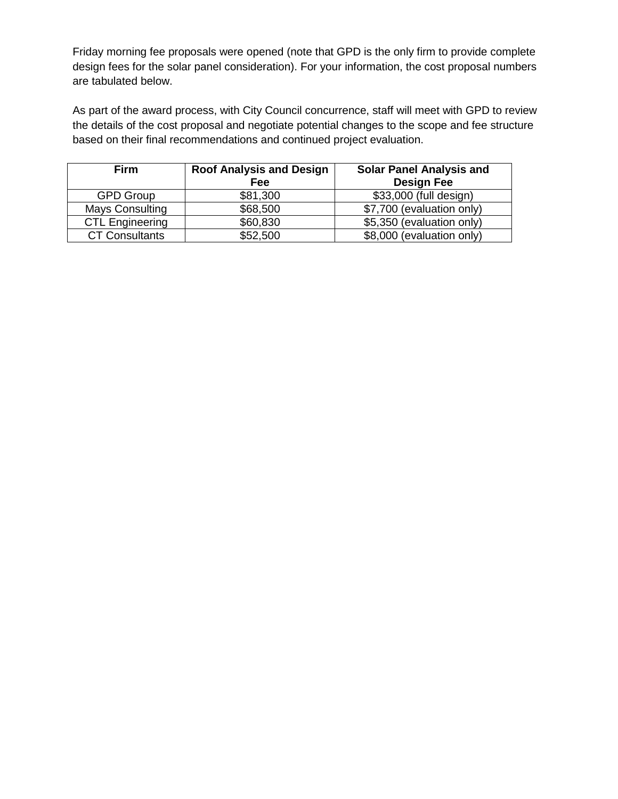Friday morning fee proposals were opened (note that GPD is the only firm to provide complete design fees for the solar panel consideration). For your information, the cost proposal numbers are tabulated below.

As part of the award process, with City Council concurrence, staff will meet with GPD to review the details of the cost proposal and negotiate potential changes to the scope and fee structure based on their final recommendations and continued project evaluation.

| <b>Firm</b>            | <b>Roof Analysis and Design</b><br>Fee | <b>Solar Panel Analysis and</b><br><b>Design Fee</b> |
|------------------------|----------------------------------------|------------------------------------------------------|
| <b>GPD Group</b>       | \$81,300                               | \$33,000 (full design)                               |
| <b>Mays Consulting</b> | \$68,500                               | \$7,700 (evaluation only)                            |
| <b>CTL Engineering</b> | \$60,830                               | \$5,350 (evaluation only)                            |
| <b>CT Consultants</b>  | \$52,500                               | \$8,000 (evaluation only)                            |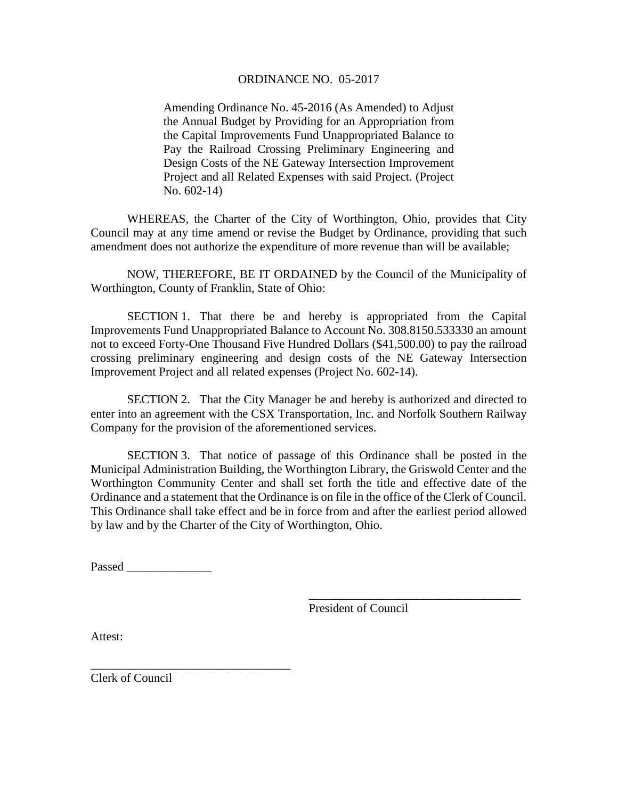#### ORDINANCE NO. 05-2017

Amending Ordinance No. 45-2016 (As Amended) to Adjust the Annual Budget by Providing for an Appropriation from the Capital Improvements Fund Unappropriated Balance to Pay the Railroad Crossing Preliminary Engineering and Design Costs of the NE Gateway Intersection Improvement Project and all Related Expenses with said Project. (Project No. 602-14)

WHEREAS, the Charter of the City of Worthington, Ohio, provides that City Council may at any time amend or revise the Budget by Ordinance, providing that such amendment does not authorize the expenditure of more revenue than will be available;

NOW, THEREFORE, BE IT ORDAINED by the Council of the Municipality of Worthington, County of Franklin, State of Ohio:

SECTION 1. That there be and hereby is appropriated from the Capital Improvements Fund Unappropriated Balance to Account No. 308.8150.533330 an amount not to exceed Forty-One Thousand Five Hundred Dollars (\$41,500.00) to pay the railroad crossing preliminary engineering and design costs of the NE Gateway Intersection Improvement Project and all related expenses (Project No. 602-14).

SECTION 2. That the City Manager be and hereby is authorized and directed to enter into an agreement with the CSX Transportation, Inc. and Norfolk Southern Railway Company for the provision of the aforementioned services.

SECTION 3. That notice of passage of this Ordinance shall be posted in the Municipal Administration Building, the Worthington Library, the Griswold Center and the Worthington Community Center and shall set forth the title and effective date of the Ordinance and a statement that the Ordinance is on file in the office of the Clerk of Council. This Ordinance shall take effect and be in force from and after the earliest period allowed by law and by the Charter of the City of Worthington, Ohio.

Passed  $\Box$ 

\_\_\_\_\_\_\_\_\_\_\_\_\_\_\_\_\_\_\_\_\_\_\_\_\_\_\_\_\_\_\_\_\_

President of Council

\_\_\_\_\_\_\_\_\_\_\_\_\_\_\_\_\_\_\_\_\_\_\_\_\_\_\_\_\_\_\_\_\_\_\_

Attest:

Clerk of Council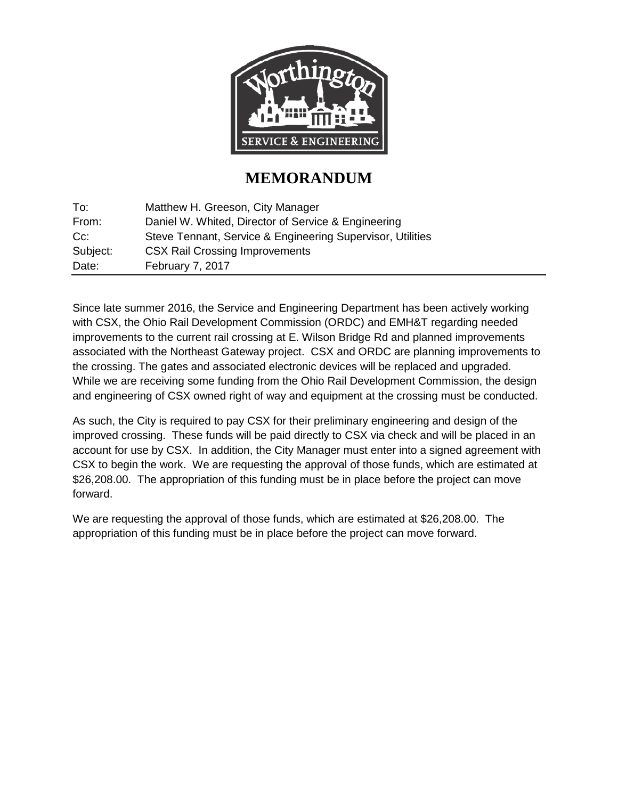

## **MEMORANDUM**

| To:      | Matthew H. Greeson, City Manager                           |
|----------|------------------------------------------------------------|
| From:    | Daniel W. Whited, Director of Service & Engineering        |
| $Cc$ :   | Steve Tennant, Service & Engineering Supervisor, Utilities |
| Subject: | <b>CSX Rail Crossing Improvements</b>                      |
| Date:    | February 7, 2017                                           |

Since late summer 2016, the Service and Engineering Department has been actively working with CSX, the Ohio Rail Development Commission (ORDC) and EMH&T regarding needed improvements to the current rail crossing at E. Wilson Bridge Rd and planned improvements associated with the Northeast Gateway project. CSX and ORDC are planning improvements to the crossing. The gates and associated electronic devices will be replaced and upgraded. While we are receiving some funding from the Ohio Rail Development Commission, the design and engineering of CSX owned right of way and equipment at the crossing must be conducted.

As such, the City is required to pay CSX for their preliminary engineering and design of the improved crossing. These funds will be paid directly to CSX via check and will be placed in an account for use by CSX. In addition, the City Manager must enter into a signed agreement with CSX to begin the work. We are requesting the approval of those funds, which are estimated at \$26,208.00. The appropriation of this funding must be in place before the project can move forward.

We are requesting the approval of those funds, which are estimated at \$26,208.00. The appropriation of this funding must be in place before the project can move forward.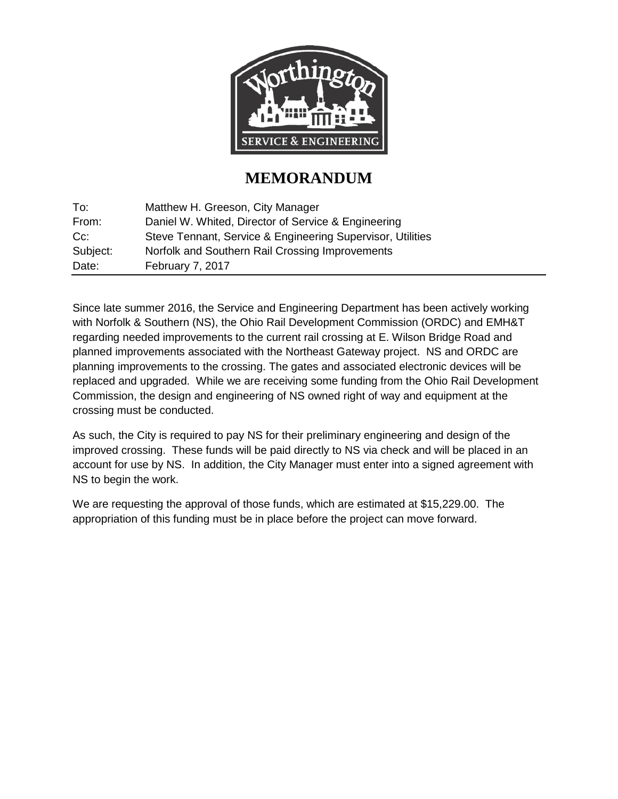

## **MEMORANDUM**

| To:      | Matthew H. Greeson, City Manager                           |
|----------|------------------------------------------------------------|
| From:    | Daniel W. Whited, Director of Service & Engineering        |
| $Cc$ :   | Steve Tennant, Service & Engineering Supervisor, Utilities |
| Subject: | Norfolk and Southern Rail Crossing Improvements            |
| Date:    | February 7, 2017                                           |

Since late summer 2016, the Service and Engineering Department has been actively working with Norfolk & Southern (NS), the Ohio Rail Development Commission (ORDC) and EMH&T regarding needed improvements to the current rail crossing at E. Wilson Bridge Road and planned improvements associated with the Northeast Gateway project. NS and ORDC are planning improvements to the crossing. The gates and associated electronic devices will be replaced and upgraded. While we are receiving some funding from the Ohio Rail Development Commission, the design and engineering of NS owned right of way and equipment at the crossing must be conducted.

As such, the City is required to pay NS for their preliminary engineering and design of the improved crossing. These funds will be paid directly to NS via check and will be placed in an account for use by NS. In addition, the City Manager must enter into a signed agreement with NS to begin the work.

We are requesting the approval of those funds, which are estimated at \$15,229.00. The appropriation of this funding must be in place before the project can move forward.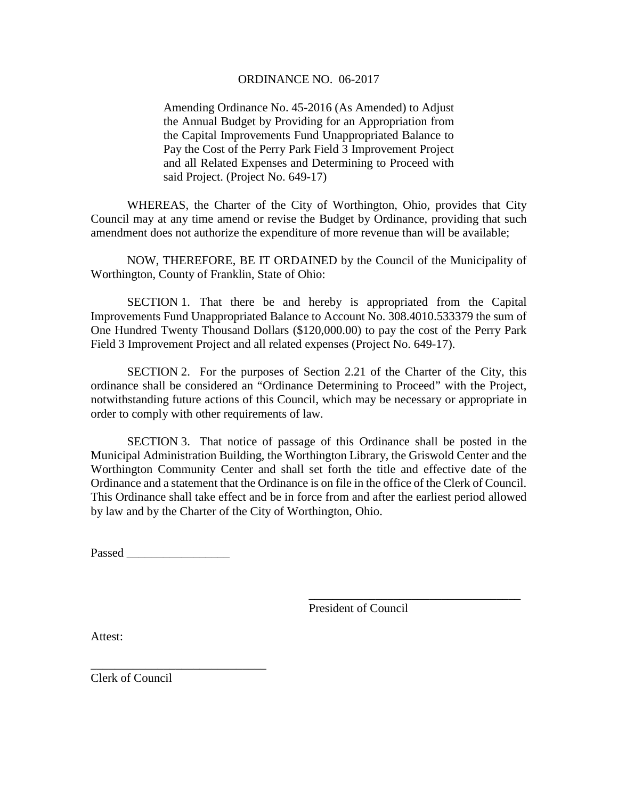#### ORDINANCE NO. 06-2017

Amending Ordinance No. 45-2016 (As Amended) to Adjust the Annual Budget by Providing for an Appropriation from the Capital Improvements Fund Unappropriated Balance to Pay the Cost of the Perry Park Field 3 Improvement Project and all Related Expenses and Determining to Proceed with said Project. (Project No. 649-17)

WHEREAS, the Charter of the City of Worthington, Ohio, provides that City Council may at any time amend or revise the Budget by Ordinance, providing that such amendment does not authorize the expenditure of more revenue than will be available;

NOW, THEREFORE, BE IT ORDAINED by the Council of the Municipality of Worthington, County of Franklin, State of Ohio:

SECTION 1. That there be and hereby is appropriated from the Capital Improvements Fund Unappropriated Balance to Account No. 308.4010.533379 the sum of One Hundred Twenty Thousand Dollars (\$120,000.00) to pay the cost of the Perry Park Field 3 Improvement Project and all related expenses (Project No. 649-17).

SECTION 2. For the purposes of Section 2.21 of the Charter of the City, this ordinance shall be considered an "Ordinance Determining to Proceed" with the Project, notwithstanding future actions of this Council, which may be necessary or appropriate in order to comply with other requirements of law.

SECTION 3. That notice of passage of this Ordinance shall be posted in the Municipal Administration Building, the Worthington Library, the Griswold Center and the Worthington Community Center and shall set forth the title and effective date of the Ordinance and a statement that the Ordinance is on file in the office of the Clerk of Council. This Ordinance shall take effect and be in force from and after the earliest period allowed by law and by the Charter of the City of Worthington, Ohio.

Passed  $\Box$ 

\_\_\_\_\_\_\_\_\_\_\_\_\_\_\_\_\_\_\_\_\_\_\_\_\_\_\_\_\_

President of Council

\_\_\_\_\_\_\_\_\_\_\_\_\_\_\_\_\_\_\_\_\_\_\_\_\_\_\_\_\_\_\_\_\_\_\_

Attest:

Clerk of Council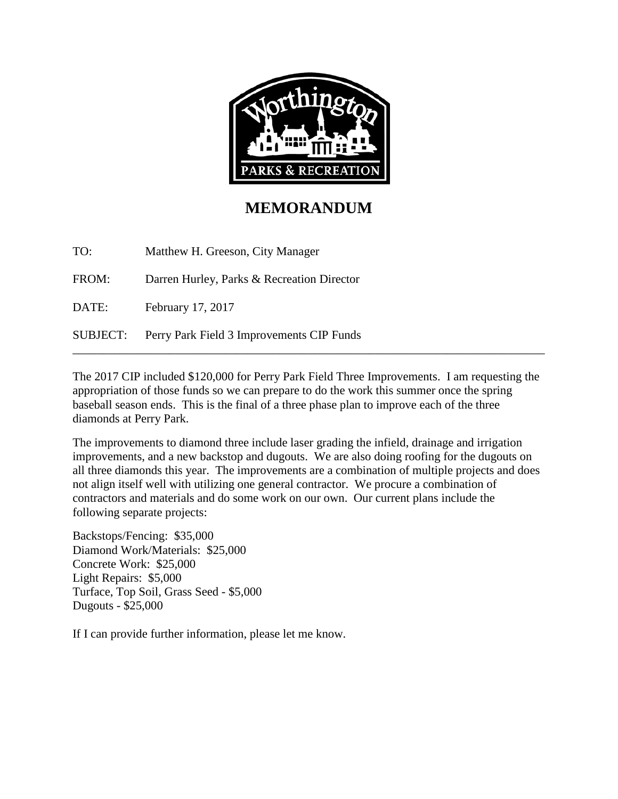

## **MEMORANDUM**

TO: Matthew H. Greeson, City Manager

FROM: Darren Hurley, Parks & Recreation Director

DATE: February 17, 2017

SUBJECT: Perry Park Field 3 Improvements CIP Funds

The 2017 CIP included \$120,000 for Perry Park Field Three Improvements. I am requesting the appropriation of those funds so we can prepare to do the work this summer once the spring baseball season ends. This is the final of a three phase plan to improve each of the three diamonds at Perry Park.

\_\_\_\_\_\_\_\_\_\_\_\_\_\_\_\_\_\_\_\_\_\_\_\_\_\_\_\_\_\_\_\_\_\_\_\_\_\_\_\_\_\_\_\_\_\_\_\_\_\_\_\_\_\_\_\_\_\_\_\_\_\_\_\_\_\_\_\_\_\_\_\_\_\_\_\_\_\_

The improvements to diamond three include laser grading the infield, drainage and irrigation improvements, and a new backstop and dugouts. We are also doing roofing for the dugouts on all three diamonds this year. The improvements are a combination of multiple projects and does not align itself well with utilizing one general contractor. We procure a combination of contractors and materials and do some work on our own. Our current plans include the following separate projects:

Backstops/Fencing: \$35,000 Diamond Work/Materials: \$25,000 Concrete Work: \$25,000 Light Repairs: \$5,000 Turface, Top Soil, Grass Seed - \$5,000 Dugouts - \$25,000

If I can provide further information, please let me know.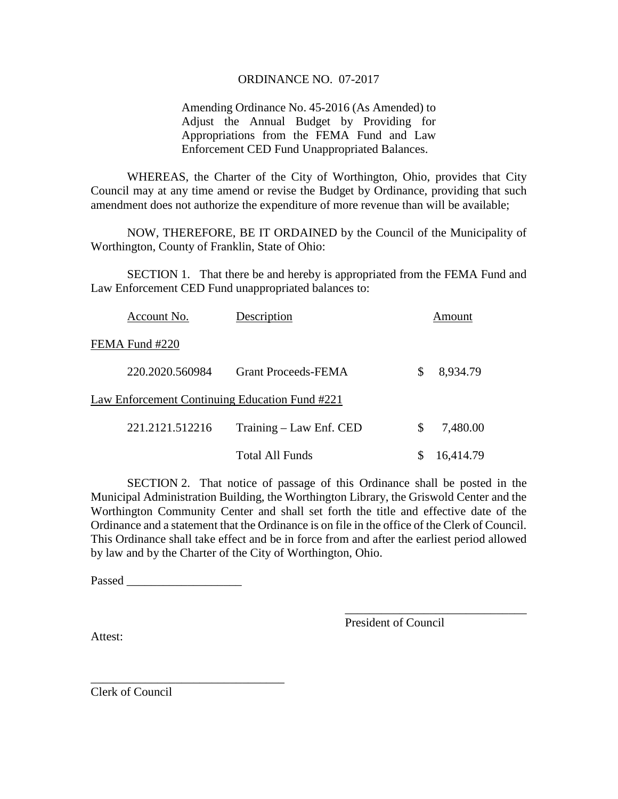#### ORDINANCE NO. 07-2017

Amending Ordinance No. 45-2016 (As Amended) to Adjust the Annual Budget by Providing for Appropriations from the FEMA Fund and Law Enforcement CED Fund Unappropriated Balances.

WHEREAS, the Charter of the City of Worthington, Ohio, provides that City Council may at any time amend or revise the Budget by Ordinance, providing that such amendment does not authorize the expenditure of more revenue than will be available;

NOW, THEREFORE, BE IT ORDAINED by the Council of the Municipality of Worthington, County of Franklin, State of Ohio:

SECTION 1. That there be and hereby is appropriated from the FEMA Fund and Law Enforcement CED Fund unappropriated balances to:

| Account No.     | Description                                    |    | Amount    |
|-----------------|------------------------------------------------|----|-----------|
| FEMA Fund #220  |                                                |    |           |
| 220.2020.560984 | <b>Grant Proceeds-FEMA</b>                     | S  | 8,934.79  |
|                 | Law Enforcement Continuing Education Fund #221 |    |           |
| 221.2121.512216 | Training – Law Enf. CED                        | \$ | 7,480.00  |
|                 | <b>Total All Funds</b>                         |    | 16,414.79 |

SECTION 2. That notice of passage of this Ordinance shall be posted in the Municipal Administration Building, the Worthington Library, the Griswold Center and the Worthington Community Center and shall set forth the title and effective date of the Ordinance and a statement that the Ordinance is on file in the office of the Clerk of Council. This Ordinance shall take effect and be in force from and after the earliest period allowed by law and by the Charter of the City of Worthington, Ohio.

Passed  $\blacksquare$ 

\_\_\_\_\_\_\_\_\_\_\_\_\_\_\_\_\_\_\_\_\_\_\_\_\_\_\_\_\_\_\_\_

President of Council

\_\_\_\_\_\_\_\_\_\_\_\_\_\_\_\_\_\_\_\_\_\_\_\_\_\_\_\_\_\_

Attest:

Clerk of Council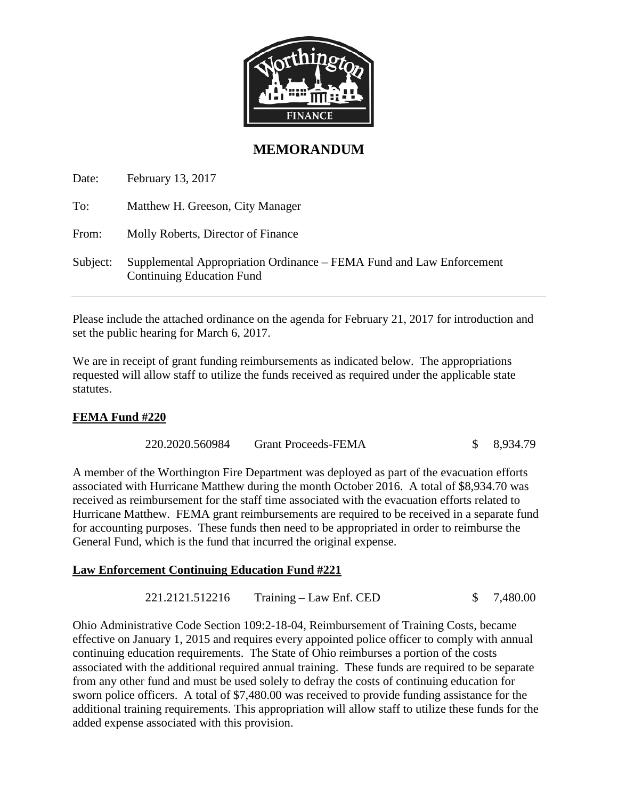

### **MEMORANDUM**

Date: February 13, 2017

| Matthew H. Greeson, City Manager |
|----------------------------------|
|                                  |

From: Molly Roberts, Director of Finance

Subject: Supplemental Appropriation Ordinance – FEMA Fund and Law Enforcement Continuing Education Fund

Please include the attached ordinance on the agenda for February 21, 2017 for introduction and set the public hearing for March 6, 2017.

We are in receipt of grant funding reimbursements as indicated below. The appropriations requested will allow staff to utilize the funds received as required under the applicable state statutes.

#### **FEMA Fund #220**

220.2020.560984 Grant Proceeds-FEMA \$ 8,934.79

A member of the Worthington Fire Department was deployed as part of the evacuation efforts associated with Hurricane Matthew during the month October 2016. A total of \$8,934.70 was received as reimbursement for the staff time associated with the evacuation efforts related to Hurricane Matthew. FEMA grant reimbursements are required to be received in a separate fund for accounting purposes. These funds then need to be appropriated in order to reimburse the General Fund, which is the fund that incurred the original expense.

#### **Law Enforcement Continuing Education Fund #221**

221.2121.512216 Training – Law Enf. CED \$ 7,480.00

Ohio Administrative Code Section 109:2-18-04, Reimbursement of Training Costs, became effective on January 1, 2015 and requires every appointed police officer to comply with annual continuing education requirements. The State of Ohio reimburses a portion of the costs associated with the additional required annual training. These funds are required to be separate from any other fund and must be used solely to defray the costs of continuing education for sworn police officers. A total of \$7,480.00 was received to provide funding assistance for the additional training requirements. This appropriation will allow staff to utilize these funds for the added expense associated with this provision.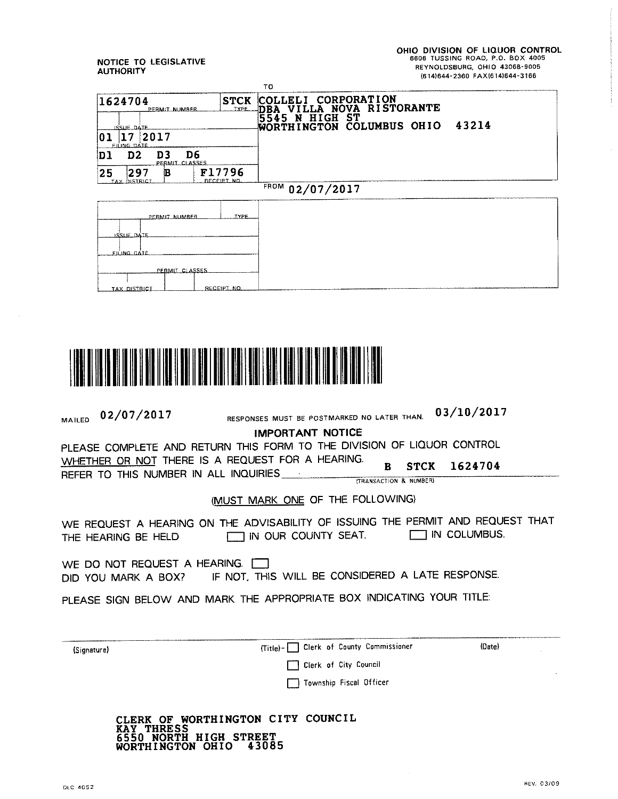OHIO DIVISION OF LIQUOR CONTROL<br>5606 TUSSING ROAD, P.O. BOX 4005 REYNOLDSBURG, OHIO 43068-9005 (614)644-2360 FAX(614)644-3166

#### NOTICE TO LEGISLATIVE **AUTHORITY**

|                                                               | TO                                                                |
|---------------------------------------------------------------|-------------------------------------------------------------------|
| 1624704<br><b>STCK</b><br><b>TYPE</b><br>PERMIT NUMBER        | COLLELI CORPORATION<br>LLA NOVA RISTORANTE<br>DBA                 |
| ISSUE DATE<br>2017<br>01<br>7<br><b>FILING DATE</b>           | N HIGH ST<br>5545<br>43214<br>COLUMBUS OHIO<br><b>WORTHINGTON</b> |
| D3<br>D6<br>D <sub>2</sub><br>Dl<br>PERMIT CLASSES            |                                                                   |
| F17796<br>297<br>25<br>в<br><b>RECEIPT NO</b><br>TAX DISTRICI |                                                                   |
|                                                               | FROM 02/07/2017                                                   |
| TYPE<br>PERMIT NUMBER<br>ISSUE DATE                           |                                                                   |
| FILING DATE<br>PERMIT CLASSES<br>RECEIPT NO<br>TAX DISTRICT   |                                                                   |



| <b>MAILED</b>                                                                                                | 02/07/2017                                                                                           | RESPONSES MUST BE POSTMARKED NO LATER THAN.                                                            |                                                       | 03/10/2017            |  |  |
|--------------------------------------------------------------------------------------------------------------|------------------------------------------------------------------------------------------------------|--------------------------------------------------------------------------------------------------------|-------------------------------------------------------|-----------------------|--|--|
|                                                                                                              |                                                                                                      | <b>IMPORTANT NOTICE</b>                                                                                |                                                       |                       |  |  |
|                                                                                                              |                                                                                                      | PLEASE COMPLETE AND RETURN THIS FORM TO THE DIVISION OF LIQUOR CONTROL                                 |                                                       |                       |  |  |
|                                                                                                              | REFER TO THIS NUMBER IN ALL INQUIRIES ____                                                           | WHETHER OR NOT THERE IS A REQUEST FOR A HEARING.                                                       | <b>STCK</b><br>B<br><b>ITRANSACTION &amp; NUMBER)</b> | 1624704               |  |  |
|                                                                                                              |                                                                                                      | (MUST MARK ONE OF THE FOLLOWING)                                                                       |                                                       |                       |  |  |
|                                                                                                              | THE HEARING BE HELD                                                                                  | WE REQUEST A HEARING ON THE ADVISABILITY OF ISSUING THE PERMIT AND REQUEST THAT<br>IN OUR COUNTY SEAT. |                                                       | <b>THIN COLUMBUS.</b> |  |  |
|                                                                                                              | WE DO NOT REQUEST A HEARING.<br>DID YOU MARK A BOX? IF NOT, THIS WILL BE CONSIDERED A LATE RESPONSE. |                                                                                                        |                                                       |                       |  |  |
| PLEASE SIGN BELOW AND MARK THE APPROPRIATE BOX INDICATING YOUR TITLE:                                        |                                                                                                      |                                                                                                        |                                                       |                       |  |  |
| (Signature)                                                                                                  |                                                                                                      | Clerk of County Commissioner<br>$(Tite) - 1$                                                           |                                                       | (Date)                |  |  |
|                                                                                                              |                                                                                                      | Clerk of City Council                                                                                  |                                                       |                       |  |  |
|                                                                                                              |                                                                                                      | Township Fiscal Officer                                                                                |                                                       |                       |  |  |
| CLERK OF WORTHINGTON CITY COUNCIL<br><b>THRESS</b><br><b>HIGH STREET</b><br>RTH<br>43085<br>WORTHINGTON OHIO |                                                                                                      |                                                                                                        |                                                       |                       |  |  |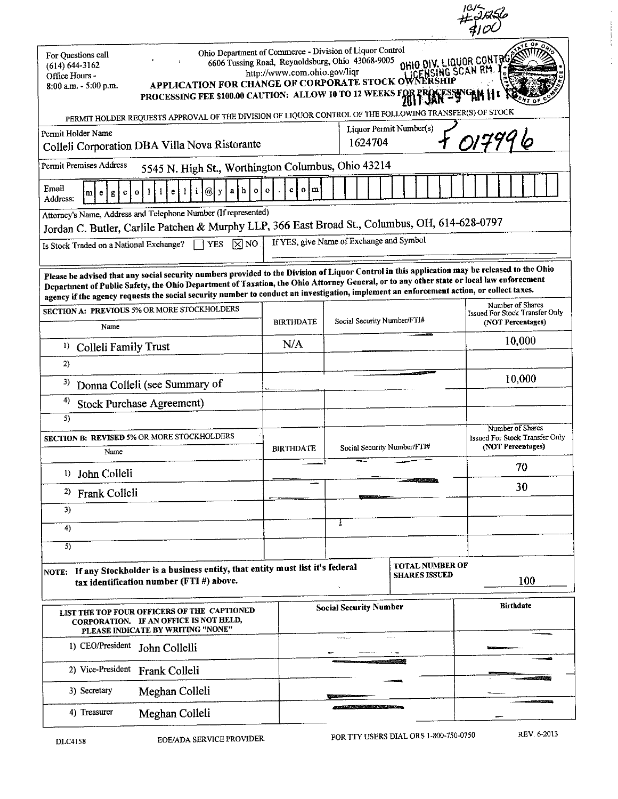| Ohio Department of Commerce - Division of Liquor Control<br>For Ouestions call<br>OHIO DIV. LIQUOR CONTRO<br>6606 Tussing Road, Reynoldsburg, Ohio 43068-9005<br>$(614) 644 - 3162$<br>IG SCAN RM<br>http://www.com.ohio.gov/liqr<br>Office Hours -<br><b>APPLICATION FOR CHANGE OF CORPORATE STOCK OV</b><br>$8:00$ a.m. $\sim 5:00$ p.m.<br>PROCESSING FEE \$100.00 CAUTION: ALLOW 10 TO 12 WEEKS FOR                              |                                                   |                             |                         |                                                                         |  |
|--------------------------------------------------------------------------------------------------------------------------------------------------------------------------------------------------------------------------------------------------------------------------------------------------------------------------------------------------------------------------------------------------------------------------------------|---------------------------------------------------|-----------------------------|-------------------------|-------------------------------------------------------------------------|--|
| PERMIT HOLDER REQUESTS APPROVAL OF THE DIVISION OF LIQUOR CONTROL OF THE FOLLOWING TRANSFER(S) OF STOCK                                                                                                                                                                                                                                                                                                                              |                                                   |                             |                         |                                                                         |  |
| Permit Holder Name<br>Colleli Corporation DBA Villa Nova Ristorante                                                                                                                                                                                                                                                                                                                                                                  |                                                   | 1624704                     | Liquor Permit Number(s) |                                                                         |  |
| Permit Premises Address<br>5545 N. High St., Worthington Columbus, Ohio 43214                                                                                                                                                                                                                                                                                                                                                        |                                                   |                             |                         |                                                                         |  |
| Email<br>h<br>a,<br>a l<br>0<br>е<br>ml<br>g<br>Address:                                                                                                                                                                                                                                                                                                                                                                             | o I m                                             |                             |                         |                                                                         |  |
| Attorney's Name, Address and Telephone Number (If represented)                                                                                                                                                                                                                                                                                                                                                                       |                                                   |                             |                         |                                                                         |  |
| Jordan C. Butler, Carlile Patchen & Murphy LLP, 366 East Broad St., Columbus, OH, 614-628-0797                                                                                                                                                                                                                                                                                                                                       |                                                   |                             |                         |                                                                         |  |
| If YES, give Name of Exchange and Symbol<br>$\mathbf{\nabla}$ NO<br><b>YES</b><br>Is Stock Traded on a National Exchange?                                                                                                                                                                                                                                                                                                            |                                                   |                             |                         |                                                                         |  |
| Please be advised that any social security numbers provided to the Division of Liquor Control in this application may be released to the Ohio<br>Department of Public Safety, the Ohio Department of Taxation, the Ohio Attorney General, or to any other state or local law enforcement<br>agency if the agency requests the social security number to conduct an investigation, implement an enforcement action, or collect taxes. |                                                   |                             |                         |                                                                         |  |
| SECTION A: PREVIOUS 5% OR MORE STOCKHOLDERS<br>Name                                                                                                                                                                                                                                                                                                                                                                                  | <b>BIRTHDATE</b>                                  | Social Security Number/FTI# |                         | Number of Shares<br>Issued For Stock Transfer Only<br>(NOT Percentages) |  |
| 1)                                                                                                                                                                                                                                                                                                                                                                                                                                   | N/A                                               |                             |                         | 10,000                                                                  |  |
| Colleli Family Trust<br>2)                                                                                                                                                                                                                                                                                                                                                                                                           |                                                   |                             |                         |                                                                         |  |
| 3)                                                                                                                                                                                                                                                                                                                                                                                                                                   |                                                   |                             |                         | 10,000                                                                  |  |
| Donna Colleli (see Summary of<br>4)                                                                                                                                                                                                                                                                                                                                                                                                  |                                                   |                             |                         |                                                                         |  |
| <b>Stock Purchase Agreement)</b><br>5)                                                                                                                                                                                                                                                                                                                                                                                               |                                                   |                             |                         |                                                                         |  |
| SECTION B: REVISED 5% OR MORE STOCKHOLDERS<br>Name                                                                                                                                                                                                                                                                                                                                                                                   | <b>BIRTHDATE</b>                                  | Social Security Number/FTI# |                         | Number of Shares<br>Issued For Stock Transfer Only<br>(NOT Percentages) |  |
| <sup>1</sup> ) John Colleli                                                                                                                                                                                                                                                                                                                                                                                                          |                                                   |                             |                         | 70                                                                      |  |
| <sup>2)</sup> Frank Colleli                                                                                                                                                                                                                                                                                                                                                                                                          |                                                   |                             |                         | 30                                                                      |  |
| 3)                                                                                                                                                                                                                                                                                                                                                                                                                                   |                                                   |                             |                         |                                                                         |  |
| 4)                                                                                                                                                                                                                                                                                                                                                                                                                                   |                                                   | Ŧ                           |                         |                                                                         |  |
| $\overline{5}$                                                                                                                                                                                                                                                                                                                                                                                                                       |                                                   |                             |                         |                                                                         |  |
| <b>TOTAL NUMBER OF</b><br>NOTE: If any Stockholder is a business entity, that entity must list it's federal<br><b>SHARES ISSUED</b><br>100<br>tax identification number (FTI #) above.                                                                                                                                                                                                                                               |                                                   |                             |                         |                                                                         |  |
| LIST THE TOP FOUR OFFICERS OF THE CAPTIONED<br>CORPORATION. IF AN OFFICE IS NOT HELD,<br>PLEASE INDICATE BY WRITING "NONE"                                                                                                                                                                                                                                                                                                           | <b>Birthdate</b><br><b>Social Security Number</b> |                             |                         |                                                                         |  |
| 1) CEO/President<br>John Collelli                                                                                                                                                                                                                                                                                                                                                                                                    | $\cdots$                                          |                             |                         |                                                                         |  |
| 2) Vice-President<br>Frank Colleli                                                                                                                                                                                                                                                                                                                                                                                                   |                                                   |                             |                         |                                                                         |  |
| Meghan Colleli<br>3) Secretary                                                                                                                                                                                                                                                                                                                                                                                                       |                                                   |                             |                         |                                                                         |  |
| 4) Treasurer<br>Meghan Colleli                                                                                                                                                                                                                                                                                                                                                                                                       |                                                   |                             |                         |                                                                         |  |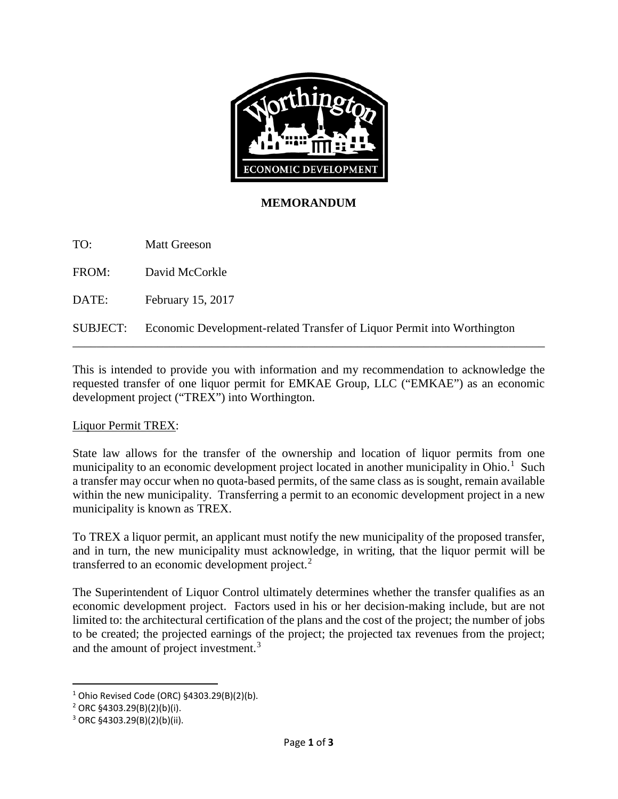

#### **MEMORANDUM**

TO: Matt Greeson

FROM: David McCorkle

DATE: February 15, 2017

SUBJECT: Economic Development-related Transfer of Liquor Permit into Worthington

This is intended to provide you with information and my recommendation to acknowledge the requested transfer of one liquor permit for EMKAE Group, LLC ("EMKAE") as an economic development project ("TREX") into Worthington.

\_\_\_\_\_\_\_\_\_\_\_\_\_\_\_\_\_\_\_\_\_\_\_\_\_\_\_\_\_\_\_\_\_\_\_\_\_\_\_\_\_\_\_\_\_\_\_\_\_\_\_\_\_\_\_\_\_\_\_\_\_\_\_\_\_\_\_\_\_\_\_\_\_\_\_\_\_\_

#### Liquor Permit TREX:

State law allows for the transfer of the ownership and location of liquor permits from one municipality to an economic development project located in another municipality in Ohio.<sup>[1](#page-43-0)</sup> Such a transfer may occur when no quota-based permits, of the same class as is sought, remain available within the new municipality. Transferring a permit to an economic development project in a new municipality is known as TREX.

To TREX a liquor permit, an applicant must notify the new municipality of the proposed transfer, and in turn, the new municipality must acknowledge, in writing, that the liquor permit will be transferred to an economic development project. $2$ 

The Superintendent of Liquor Control ultimately determines whether the transfer qualifies as an economic development project. Factors used in his or her decision-making include, but are not limited to: the architectural certification of the plans and the cost of the project; the number of jobs to be created; the projected earnings of the project; the projected tax revenues from the project; and the amount of project investment.<sup>[3](#page-43-2)</sup>

<span id="page-43-0"></span> $1$  Ohio Revised Code (ORC) §4303.29(B)(2)(b).

<span id="page-43-1"></span><sup>2</sup> ORC §4303.29(B)(2)(b)(i).

<span id="page-43-2"></span><sup>3</sup> ORC §4303.29(B)(2)(b)(ii).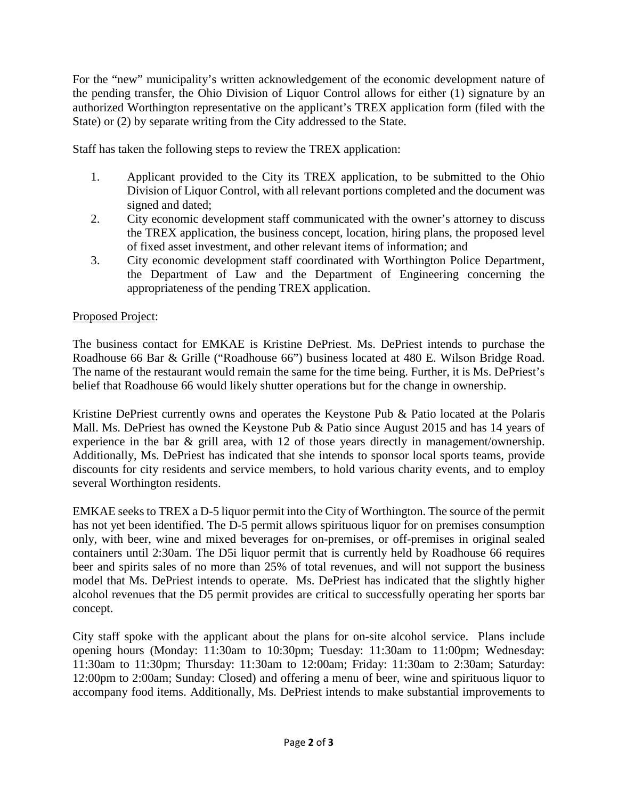For the "new" municipality's written acknowledgement of the economic development nature of the pending transfer, the Ohio Division of Liquor Control allows for either (1) signature by an authorized Worthington representative on the applicant's TREX application form (filed with the State) or (2) by separate writing from the City addressed to the State.

Staff has taken the following steps to review the TREX application:

- 1. Applicant provided to the City its TREX application, to be submitted to the Ohio Division of Liquor Control, with all relevant portions completed and the document was signed and dated;
- 2. City economic development staff communicated with the owner's attorney to discuss the TREX application, the business concept, location, hiring plans, the proposed level of fixed asset investment, and other relevant items of information; and
- 3. City economic development staff coordinated with Worthington Police Department, the Department of Law and the Department of Engineering concerning the appropriateness of the pending TREX application.

#### Proposed Project:

The business contact for EMKAE is Kristine DePriest. Ms. DePriest intends to purchase the Roadhouse 66 Bar & Grille ("Roadhouse 66") business located at 480 E. Wilson Bridge Road. The name of the restaurant would remain the same for the time being. Further, it is Ms. DePriest's belief that Roadhouse 66 would likely shutter operations but for the change in ownership.

Kristine DePriest currently owns and operates the Keystone Pub & Patio located at the Polaris Mall. Ms. DePriest has owned the Keystone Pub & Patio since August 2015 and has 14 years of experience in the bar & grill area, with 12 of those years directly in management/ownership. Additionally, Ms. DePriest has indicated that she intends to sponsor local sports teams, provide discounts for city residents and service members, to hold various charity events, and to employ several Worthington residents.

EMKAE seeks to TREX a D-5 liquor permit into the City of Worthington. The source of the permit has not yet been identified. The D-5 permit allows spirituous liquor for on premises consumption only, with beer, wine and mixed beverages for on-premises, or off-premises in original sealed containers until 2:30am. The D5i liquor permit that is currently held by Roadhouse 66 requires beer and spirits sales of no more than 25% of total revenues, and will not support the business model that Ms. DePriest intends to operate. Ms. DePriest has indicated that the slightly higher alcohol revenues that the D5 permit provides are critical to successfully operating her sports bar concept.

City staff spoke with the applicant about the plans for on-site alcohol service. Plans include opening hours (Monday: 11:30am to 10:30pm; Tuesday: 11:30am to 11:00pm; Wednesday: 11:30am to 11:30pm; Thursday: 11:30am to 12:00am; Friday: 11:30am to 2:30am; Saturday: 12:00pm to 2:00am; Sunday: Closed) and offering a menu of beer, wine and spirituous liquor to accompany food items. Additionally, Ms. DePriest intends to make substantial improvements to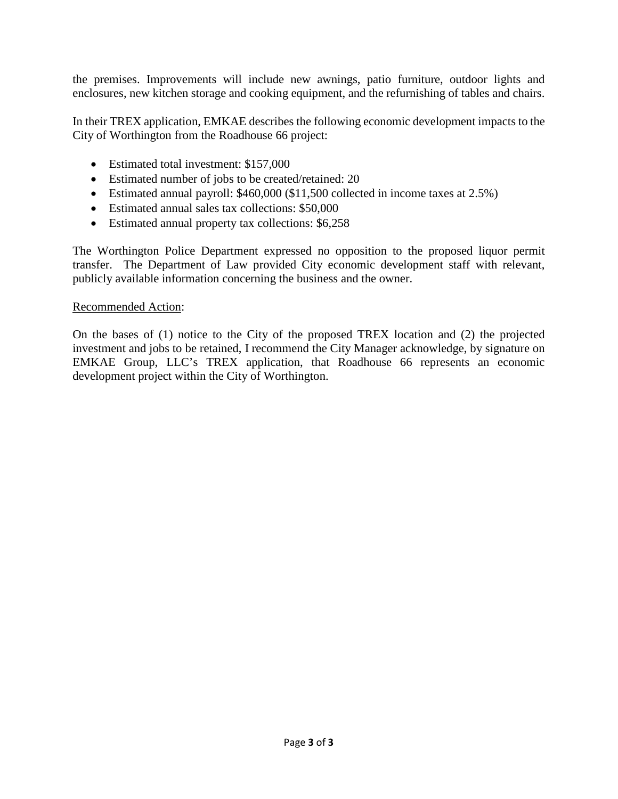the premises. Improvements will include new awnings, patio furniture, outdoor lights and enclosures, new kitchen storage and cooking equipment, and the refurnishing of tables and chairs.

In their TREX application, EMKAE describes the following economic development impacts to the City of Worthington from the Roadhouse 66 project:

- Estimated total investment: \$157,000
- Estimated number of jobs to be created/retained: 20
- Estimated annual payroll: \$460,000 (\$11,500 collected in income taxes at 2.5%)
- Estimated annual sales tax collections: \$50,000
- Estimated annual property tax collections: \$6,258

The Worthington Police Department expressed no opposition to the proposed liquor permit transfer. The Department of Law provided City economic development staff with relevant, publicly available information concerning the business and the owner.

#### Recommended Action:

On the bases of (1) notice to the City of the proposed TREX location and (2) the projected investment and jobs to be retained, I recommend the City Manager acknowledge, by signature on EMKAE Group, LLC's TREX application, that Roadhouse 66 represents an economic development project within the City of Worthington.